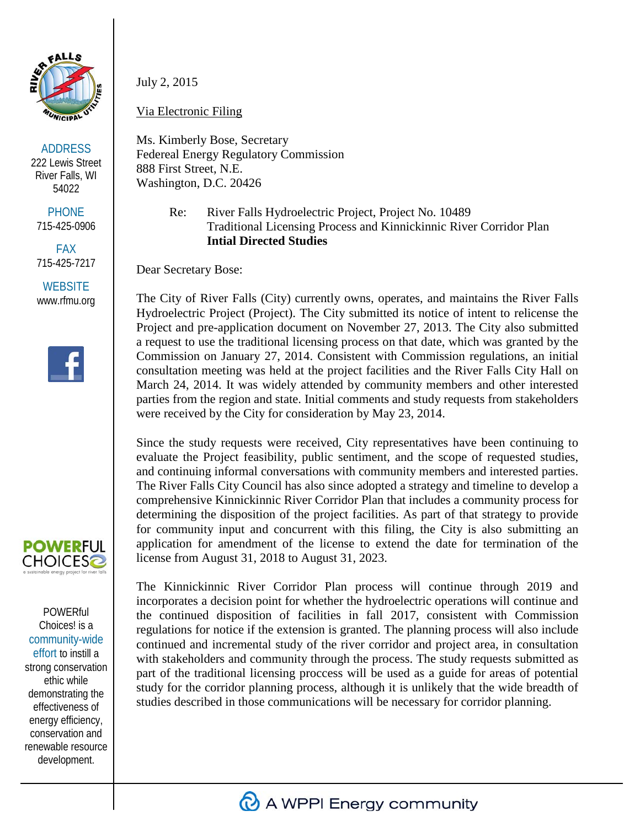

ADDRESS 222 Lewis Street River Falls, WI 54022

**PHONE** 715-425-0906

FAX 715-425-7217

**WEBSITE** www.rfmu.org





**POWERful** Choices! is a community-wide effort to instill a strong conservation ethic while demonstrating the effectiveness of energy efficiency, conservation and renewable resource development.

July 2, 2015

Via Electronic Filing

Ms. Kimberly Bose, Secretary Federeal Energy Regulatory Commission 888 First Street, N.E. Washington, D.C. 20426

> Re: River Falls Hydroelectric Project, Project No. 10489 Traditional Licensing Process and Kinnickinnic River Corridor Plan **Intial Directed Studies**

Dear Secretary Bose:

The City of River Falls (City) currently owns, operates, and maintains the River Falls Hydroelectric Project (Project). The City submitted its notice of intent to relicense the Project and pre-application document on November 27, 2013. The City also submitted a request to use the traditional licensing process on that date, which was granted by the Commission on January 27, 2014. Consistent with Commission regulations, an initial consultation meeting was held at the project facilities and the River Falls City Hall on March 24, 2014. It was widely attended by community members and other interested parties from the region and state. Initial comments and study requests from stakeholders were received by the City for consideration by May 23, 2014.

Since the study requests were received, City representatives have been continuing to evaluate the Project feasibility, public sentiment, and the scope of requested studies, and continuing informal conversations with community members and interested parties. The River Falls City Council has also since adopted a strategy and timeline to develop a comprehensive Kinnickinnic River Corridor Plan that includes a community process for determining the disposition of the project facilities. As part of that strategy to provide for community input and concurrent with this filing, the City is also submitting an application for amendment of the license to extend the date for termination of the license from August 31, 2018 to August 31, 2023.

The Kinnickinnic River Corridor Plan process will continue through 2019 and incorporates a decision point for whether the hydroelectric operations will continue and the continued disposition of facilities in fall 2017, consistent with Commission regulations for notice if the extension is granted. The planning process will also include continued and incremental study of the river corridor and project area, in consultation with stakeholders and community through the process. The study requests submitted as part of the traditional licensing proccess will be used as a guide for areas of potential study for the corridor planning process, although it is unlikely that the wide breadth of studies described in those communications will be necessary for corridor planning.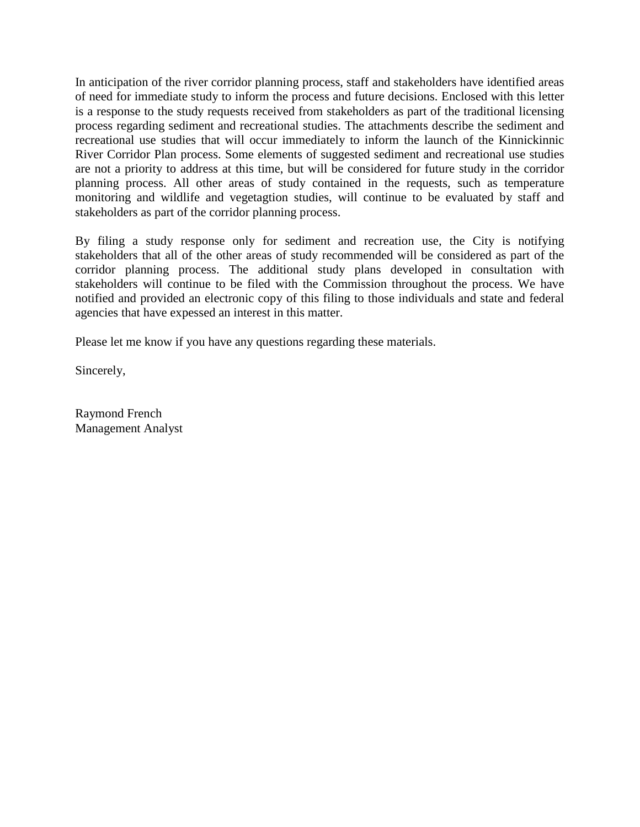In anticipation of the river corridor planning process, staff and stakeholders have identified areas of need for immediate study to inform the process and future decisions. Enclosed with this letter is a response to the study requests received from stakeholders as part of the traditional licensing process regarding sediment and recreational studies. The attachments describe the sediment and recreational use studies that will occur immediately to inform the launch of the Kinnickinnic River Corridor Plan process. Some elements of suggested sediment and recreational use studies are not a priority to address at this time, but will be considered for future study in the corridor planning process. All other areas of study contained in the requests, such as temperature monitoring and wildlife and vegetagtion studies, will continue to be evaluated by staff and stakeholders as part of the corridor planning process.

By filing a study response only for sediment and recreation use, the City is notifying stakeholders that all of the other areas of study recommended will be considered as part of the corridor planning process. The additional study plans developed in consultation with stakeholders will continue to be filed with the Commission throughout the process. We have notified and provided an electronic copy of this filing to those individuals and state and federal agencies that have expessed an interest in this matter.

Please let me know if you have any questions regarding these materials.

Sincerely,

Raymond French Management Analyst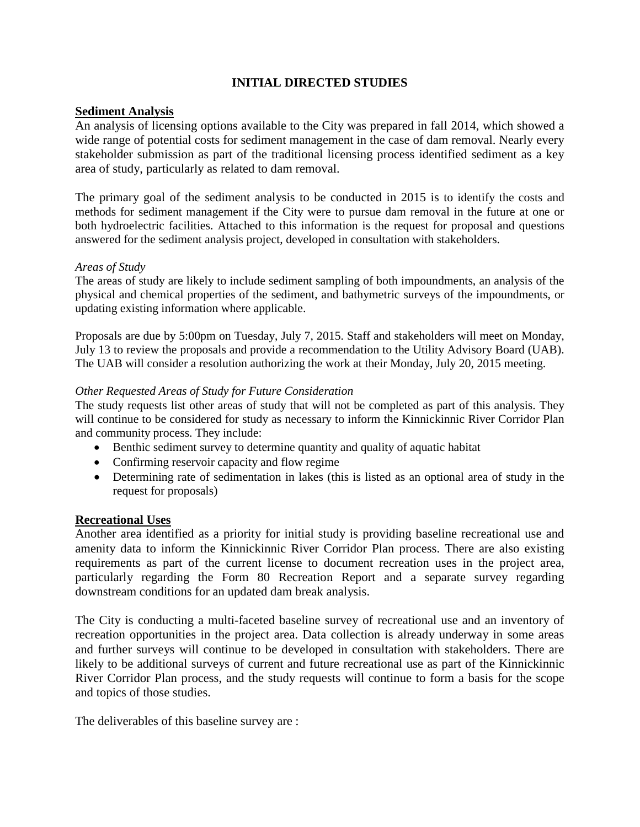### **INITIAL DIRECTED STUDIES**

### **Sediment Analysis**

An analysis of licensing options available to the City was prepared in fall 2014, which showed a wide range of potential costs for sediment management in the case of dam removal. Nearly every stakeholder submission as part of the traditional licensing process identified sediment as a key area of study, particularly as related to dam removal.

The primary goal of the sediment analysis to be conducted in 2015 is to identify the costs and methods for sediment management if the City were to pursue dam removal in the future at one or both hydroelectric facilities. Attached to this information is the request for proposal and questions answered for the sediment analysis project, developed in consultation with stakeholders.

### *Areas of Study*

The areas of study are likely to include sediment sampling of both impoundments, an analysis of the physical and chemical properties of the sediment, and bathymetric surveys of the impoundments, or updating existing information where applicable.

Proposals are due by 5:00pm on Tuesday, July 7, 2015. Staff and stakeholders will meet on Monday, July 13 to review the proposals and provide a recommendation to the Utility Advisory Board (UAB). The UAB will consider a resolution authorizing the work at their Monday, July 20, 2015 meeting.

### *Other Requested Areas of Study for Future Consideration*

The study requests list other areas of study that will not be completed as part of this analysis. They will continue to be considered for study as necessary to inform the Kinnickinnic River Corridor Plan and community process. They include:

- Benthic sediment survey to determine quantity and quality of aquatic habitat
- Confirming reservoir capacity and flow regime
- Determining rate of sedimentation in lakes (this is listed as an optional area of study in the request for proposals)

### **Recreational Uses**

Another area identified as a priority for initial study is providing baseline recreational use and amenity data to inform the Kinnickinnic River Corridor Plan process. There are also existing requirements as part of the current license to document recreation uses in the project area, particularly regarding the Form 80 Recreation Report and a separate survey regarding downstream conditions for an updated dam break analysis.

The City is conducting a multi-faceted baseline survey of recreational use and an inventory of recreation opportunities in the project area. Data collection is already underway in some areas and further surveys will continue to be developed in consultation with stakeholders. There are likely to be additional surveys of current and future recreational use as part of the Kinnickinnic River Corridor Plan process, and the study requests will continue to form a basis for the scope and topics of those studies.

The deliverables of this baseline survey are :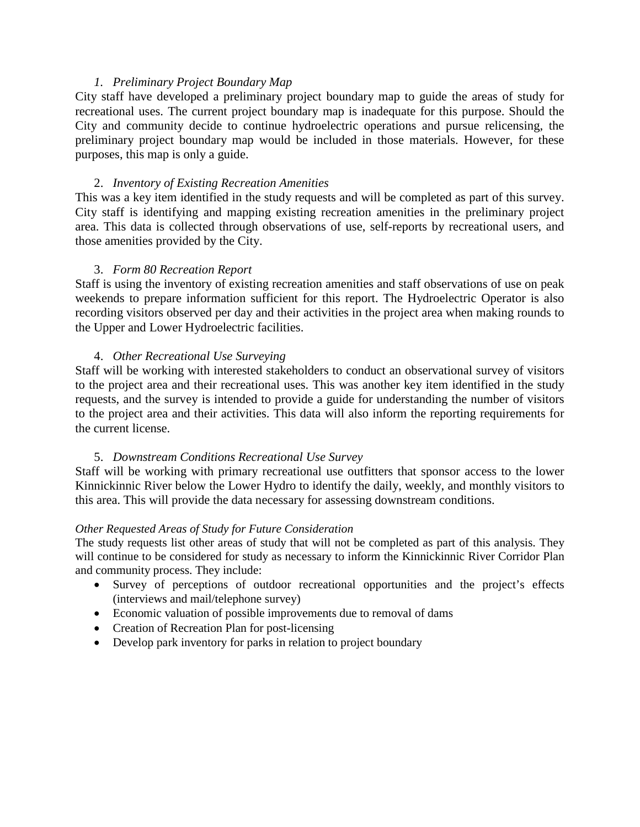### *1. Preliminary Project Boundary Map*

City staff have developed a preliminary project boundary map to guide the areas of study for recreational uses. The current project boundary map is inadequate for this purpose. Should the City and community decide to continue hydroelectric operations and pursue relicensing, the preliminary project boundary map would be included in those materials. However, for these purposes, this map is only a guide.

### 2. *Inventory of Existing Recreation Amenities*

This was a key item identified in the study requests and will be completed as part of this survey. City staff is identifying and mapping existing recreation amenities in the preliminary project area. This data is collected through observations of use, self-reports by recreational users, and those amenities provided by the City.

### 3. *Form 80 Recreation Report*

Staff is using the inventory of existing recreation amenities and staff observations of use on peak weekends to prepare information sufficient for this report. The Hydroelectric Operator is also recording visitors observed per day and their activities in the project area when making rounds to the Upper and Lower Hydroelectric facilities.

### 4. *Other Recreational Use Surveying*

Staff will be working with interested stakeholders to conduct an observational survey of visitors to the project area and their recreational uses. This was another key item identified in the study requests, and the survey is intended to provide a guide for understanding the number of visitors to the project area and their activities. This data will also inform the reporting requirements for the current license.

### 5. *Downstream Conditions Recreational Use Survey*

Staff will be working with primary recreational use outfitters that sponsor access to the lower Kinnickinnic River below the Lower Hydro to identify the daily, weekly, and monthly visitors to this area. This will provide the data necessary for assessing downstream conditions.

### *Other Requested Areas of Study for Future Consideration*

The study requests list other areas of study that will not be completed as part of this analysis. They will continue to be considered for study as necessary to inform the Kinnickinnic River Corridor Plan and community process. They include:

- Survey of perceptions of outdoor recreational opportunities and the project's effects (interviews and mail/telephone survey)
- Economic valuation of possible improvements due to removal of dams
- Creation of Recreation Plan for post-licensing
- Develop park inventory for parks in relation to project boundary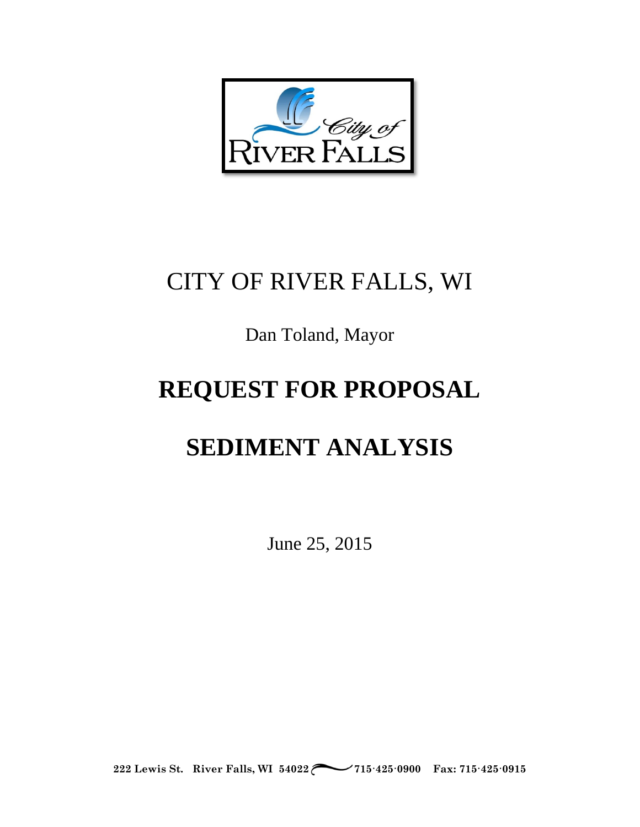

# CITY OF RIVER FALLS, WI

# Dan Toland, Mayor

# **REQUEST FOR PROPOSAL**

# **SEDIMENT ANALYSIS**

June 25, 2015

**222 Lewis St. River Falls, WI 54022 715·425·0900 Fax: 715·425·0915**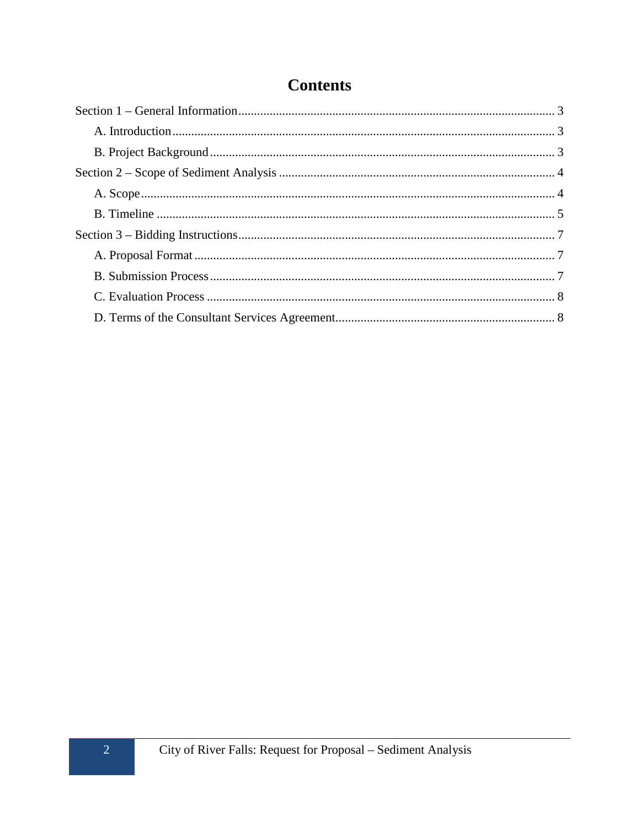# **Contents**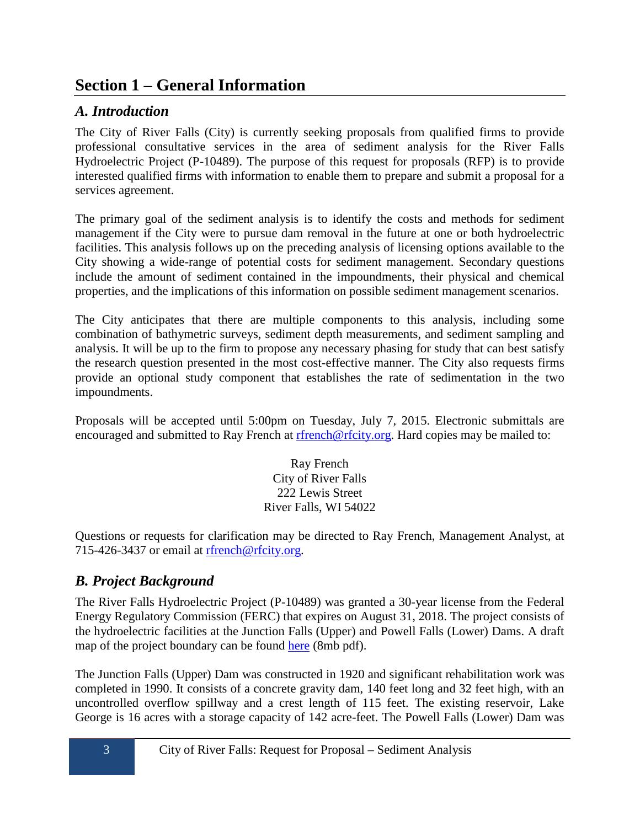# <span id="page-6-0"></span>**Section 1 – General Information**

# <span id="page-6-1"></span>*A. Introduction*

The City of River Falls (City) is currently seeking proposals from qualified firms to provide professional consultative services in the area of sediment analysis for the River Falls Hydroelectric Project (P-10489). The purpose of this request for proposals (RFP) is to provide interested qualified firms with information to enable them to prepare and submit a proposal for a services agreement.

The primary goal of the sediment analysis is to identify the costs and methods for sediment management if the City were to pursue dam removal in the future at one or both hydroelectric facilities. This analysis follows up on the preceding analysis of licensing options available to the City showing a wide-range of potential costs for sediment management. Secondary questions include the amount of sediment contained in the impoundments, their physical and chemical properties, and the implications of this information on possible sediment management scenarios.

The City anticipates that there are multiple components to this analysis, including some combination of bathymetric surveys, sediment depth measurements, and sediment sampling and analysis. It will be up to the firm to propose any necessary phasing for study that can best satisfy the research question presented in the most cost-effective manner. The City also requests firms provide an optional study component that establishes the rate of sedimentation in the two impoundments.

Proposals will be accepted until 5:00pm on Tuesday, July 7, 2015. Electronic submittals are encouraged and submitted to Ray French at [rfrench@rfcity.org.](mailto:rfrench@rfcity.org) Hard copies may be mailed to:

> Ray French City of River Falls 222 Lewis Street River Falls, WI 54022

Questions or requests for clarification may be directed to Ray French, Management Analyst, at 715-426-3437 or email at refrench@rfcity.org.

# <span id="page-6-2"></span>*B. Project Background*

The River Falls Hydroelectric Project (P-10489) was granted a 30-year license from the Federal Energy Regulatory Commission (FERC) that expires on August 31, 2018. The project consists of the hydroelectric facilities at the Junction Falls (Upper) and Powell Falls (Lower) Dams. A draft map of the project boundary can be found [here](http://www.rfcity.org/DocumentCenter/View/498) (8mb pdf).

The Junction Falls (Upper) Dam was constructed in 1920 and significant rehabilitation work was completed in 1990. It consists of a concrete gravity dam, 140 feet long and 32 feet high, with an uncontrolled overflow spillway and a crest length of 115 feet. The existing reservoir, Lake George is 16 acres with a storage capacity of 142 acre-feet. The Powell Falls (Lower) Dam was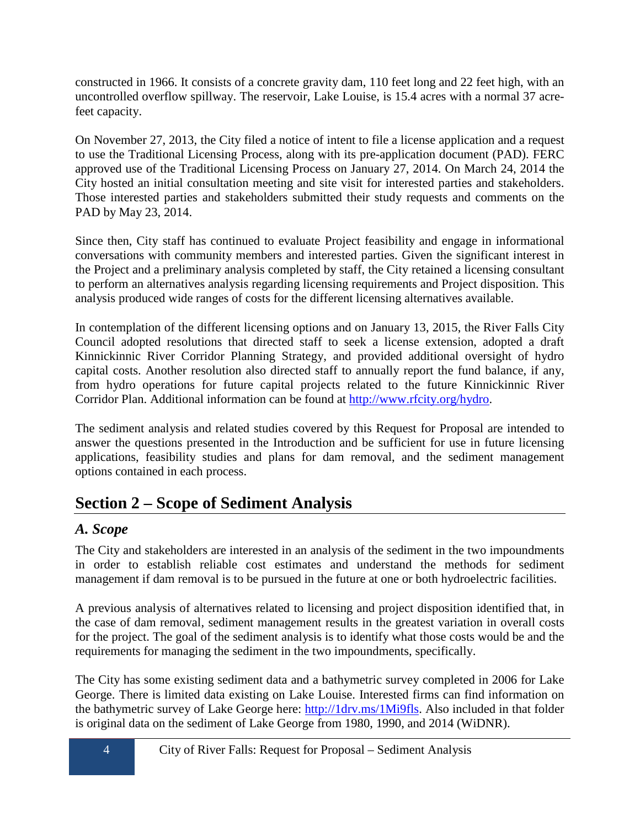constructed in 1966. It consists of a concrete gravity dam, 110 feet long and 22 feet high, with an uncontrolled overflow spillway. The reservoir, Lake Louise, is 15.4 acres with a normal 37 acrefeet capacity.

On November 27, 2013, the City filed a notice of intent to file a license application and a request to use the Traditional Licensing Process, along with its pre-application document (PAD). FERC approved use of the Traditional Licensing Process on January 27, 2014. On March 24, 2014 the City hosted an initial consultation meeting and site visit for interested parties and stakeholders. Those interested parties and stakeholders submitted their study requests and comments on the PAD by May 23, 2014.

Since then, City staff has continued to evaluate Project feasibility and engage in informational conversations with community members and interested parties. Given the significant interest in the Project and a preliminary analysis completed by staff, the City retained a licensing consultant to perform an alternatives analysis regarding licensing requirements and Project disposition. This analysis produced wide ranges of costs for the different licensing alternatives available.

In contemplation of the different licensing options and on January 13, 2015, the River Falls City Council adopted resolutions that directed staff to seek a license extension, adopted a draft Kinnickinnic River Corridor Planning Strategy, and provided additional oversight of hydro capital costs. Another resolution also directed staff to annually report the fund balance, if any, from hydro operations for future capital projects related to the future Kinnickinnic River Corridor Plan. Additional information can be found at [http://www.rfcity.org/hydro.](http://www.rfcity.org/hydro)

The sediment analysis and related studies covered by this Request for Proposal are intended to answer the questions presented in the Introduction and be sufficient for use in future licensing applications, feasibility studies and plans for dam removal, and the sediment management options contained in each process.

# <span id="page-7-0"></span>**Section 2 – Scope of Sediment Analysis**

# <span id="page-7-1"></span>*A. Scope*

The City and stakeholders are interested in an analysis of the sediment in the two impoundments in order to establish reliable cost estimates and understand the methods for sediment management if dam removal is to be pursued in the future at one or both hydroelectric facilities.

A previous analysis of alternatives related to licensing and project disposition identified that, in the case of dam removal, sediment management results in the greatest variation in overall costs for the project. The goal of the sediment analysis is to identify what those costs would be and the requirements for managing the sediment in the two impoundments, specifically.

The City has some existing sediment data and a bathymetric survey completed in 2006 for Lake George. There is limited data existing on Lake Louise. Interested firms can find information on the bathymetric survey of Lake George here: [http://1drv.ms/1Mi9fls.](http://1drv.ms/1Mi9fls) Also included in that folder is original data on the sediment of Lake George from 1980, 1990, and 2014 (WiDNR).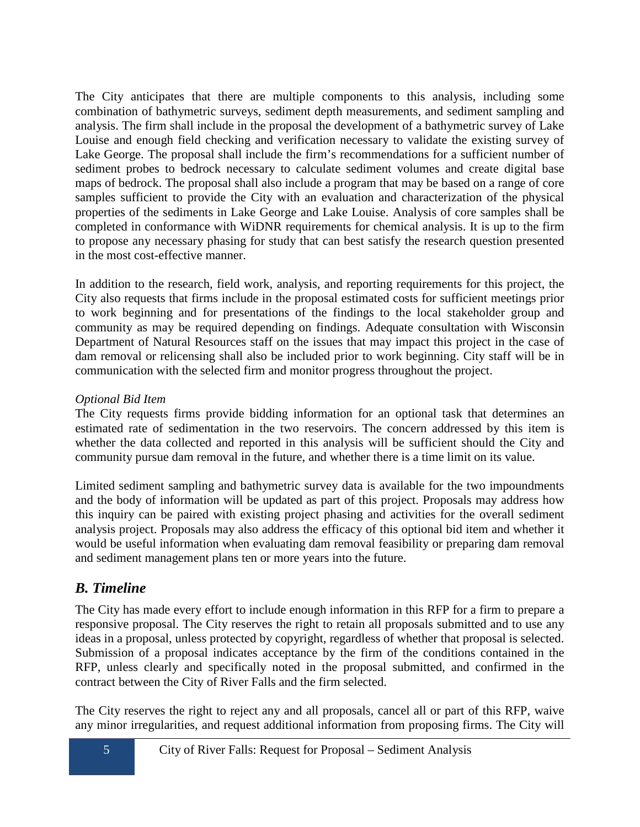The City anticipates that there are multiple components to this analysis, including some combination of bathymetric surveys, sediment depth measurements, and sediment sampling and analysis. The firm shall include in the proposal the development of a bathymetric survey of Lake Louise and enough field checking and verification necessary to validate the existing survey of Lake George. The proposal shall include the firm's recommendations for a sufficient number of sediment probes to bedrock necessary to calculate sediment volumes and create digital base maps of bedrock. The proposal shall also include a program that may be based on a range of core samples sufficient to provide the City with an evaluation and characterization of the physical properties of the sediments in Lake George and Lake Louise. Analysis of core samples shall be completed in conformance with WiDNR requirements for chemical analysis. It is up to the firm to propose any necessary phasing for study that can best satisfy the research question presented in the most cost-effective manner.

In addition to the research, field work, analysis, and reporting requirements for this project, the City also requests that firms include in the proposal estimated costs for sufficient meetings prior to work beginning and for presentations of the findings to the local stakeholder group and community as may be required depending on findings. Adequate consultation with Wisconsin Department of Natural Resources staff on the issues that may impact this project in the case of dam removal or relicensing shall also be included prior to work beginning. City staff will be in communication with the selected firm and monitor progress throughout the project.

## *Optional Bid Item*

The City requests firms provide bidding information for an optional task that determines an estimated rate of sedimentation in the two reservoirs. The concern addressed by this item is whether the data collected and reported in this analysis will be sufficient should the City and community pursue dam removal in the future, and whether there is a time limit on its value.

Limited sediment sampling and bathymetric survey data is available for the two impoundments and the body of information will be updated as part of this project. Proposals may address how this inquiry can be paired with existing project phasing and activities for the overall sediment analysis project. Proposals may also address the efficacy of this optional bid item and whether it would be useful information when evaluating dam removal feasibility or preparing dam removal and sediment management plans ten or more years into the future.

# <span id="page-8-0"></span>*B. Timeline*

The City has made every effort to include enough information in this RFP for a firm to prepare a responsive proposal. The City reserves the right to retain all proposals submitted and to use any ideas in a proposal, unless protected by copyright, regardless of whether that proposal is selected. Submission of a proposal indicates acceptance by the firm of the conditions contained in the RFP, unless clearly and specifically noted in the proposal submitted, and confirmed in the contract between the City of River Falls and the firm selected.

The City reserves the right to reject any and all proposals, cancel all or part of this RFP, waive any minor irregularities, and request additional information from proposing firms. The City will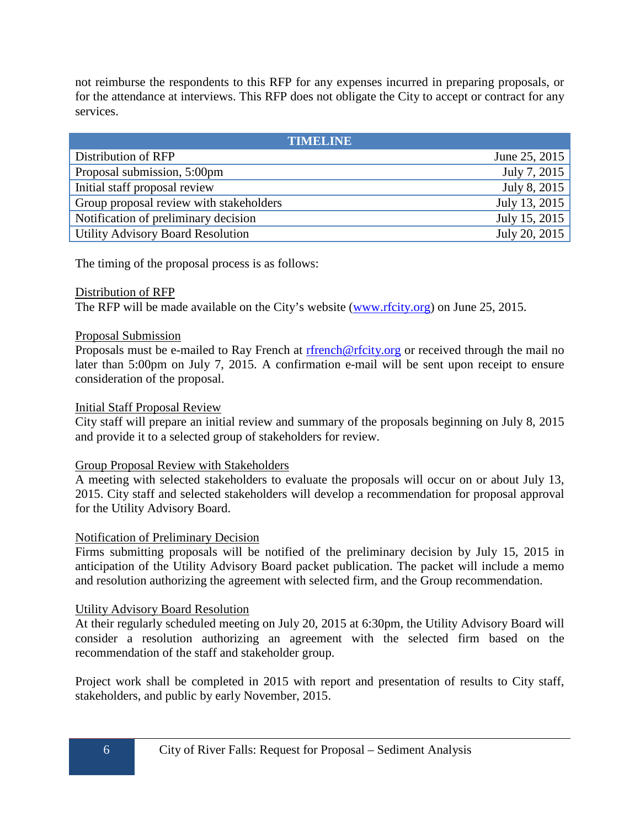not reimburse the respondents to this RFP for any expenses incurred in preparing proposals, or for the attendance at interviews. This RFP does not obligate the City to accept or contract for any services.

| <b>TIMELINE</b>                          |               |  |  |  |  |
|------------------------------------------|---------------|--|--|--|--|
| Distribution of RFP                      | June 25, 2015 |  |  |  |  |
| Proposal submission, 5:00pm              | July 7, 2015  |  |  |  |  |
| Initial staff proposal review            | July 8, 2015  |  |  |  |  |
| Group proposal review with stakeholders  | July 13, 2015 |  |  |  |  |
| Notification of preliminary decision     | July 15, 2015 |  |  |  |  |
| <b>Utility Advisory Board Resolution</b> | July 20, 2015 |  |  |  |  |

The timing of the proposal process is as follows:

### Distribution of RFP

The RFP will be made available on the City's website [\(www.rfcity.org\)](http://www.rfcity.org/) on June 25, 2015.

### Proposal Submission

Proposals must be e-mailed to Ray French at [rfrench@rfcity.org](mailto:rfrench@rfcity.org) or received through the mail no later than 5:00pm on July 7, 2015. A confirmation e-mail will be sent upon receipt to ensure consideration of the proposal.

### Initial Staff Proposal Review

City staff will prepare an initial review and summary of the proposals beginning on July 8, 2015 and provide it to a selected group of stakeholders for review.

### Group Proposal Review with Stakeholders

A meeting with selected stakeholders to evaluate the proposals will occur on or about July 13, 2015. City staff and selected stakeholders will develop a recommendation for proposal approval for the Utility Advisory Board.

### Notification of Preliminary Decision

Firms submitting proposals will be notified of the preliminary decision by July 15, 2015 in anticipation of the Utility Advisory Board packet publication. The packet will include a memo and resolution authorizing the agreement with selected firm, and the Group recommendation.

### Utility Advisory Board Resolution

At their regularly scheduled meeting on July 20, 2015 at 6:30pm, the Utility Advisory Board will consider a resolution authorizing an agreement with the selected firm based on the recommendation of the staff and stakeholder group.

Project work shall be completed in 2015 with report and presentation of results to City staff, stakeholders, and public by early November, 2015.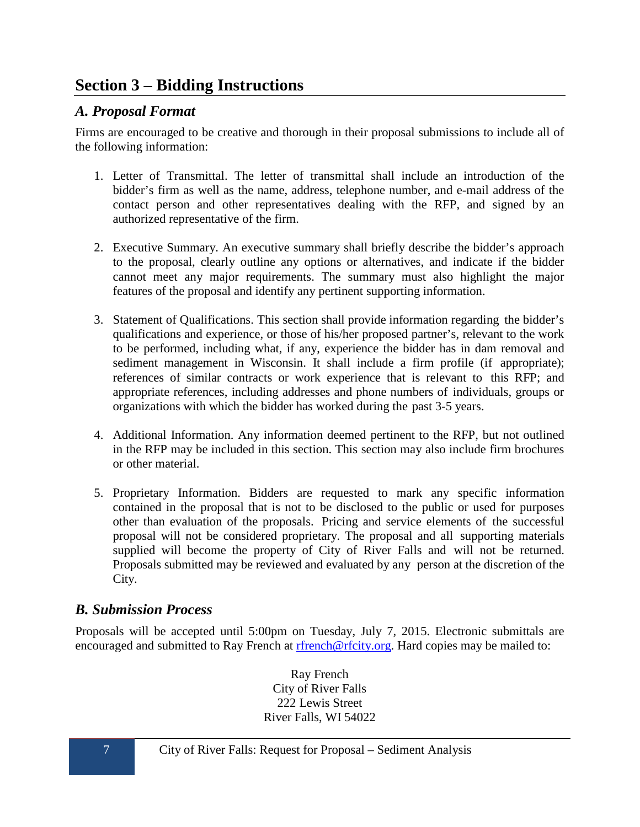# <span id="page-10-0"></span>**Section 3 – Bidding Instructions**

# <span id="page-10-1"></span>*A. Proposal Format*

Firms are encouraged to be creative and thorough in their proposal submissions to include all of the following information:

- 1. Letter of Transmittal. The letter of transmittal shall include an introduction of the bidder's firm as well as the name, address, telephone number, and e-mail address of the contact person and other representatives dealing with the RFP, and signed by an authorized representative of the firm.
- 2. Executive Summary. An executive summary shall briefly describe the bidder's approach to the proposal, clearly outline any options or alternatives, and indicate if the bidder cannot meet any major requirements. The summary must also highlight the major features of the proposal and identify any pertinent supporting information.
- 3. Statement of Qualifications. This section shall provide information regarding the bidder's qualifications and experience, or those of his/her proposed partner's, relevant to the work to be performed, including what, if any, experience the bidder has in dam removal and sediment management in Wisconsin. It shall include a firm profile (if appropriate); references of similar contracts or work experience that is relevant to this RFP; and appropriate references, including addresses and phone numbers of individuals, groups or organizations with which the bidder has worked during the past 3-5 years.
- 4. Additional Information. Any information deemed pertinent to the RFP, but not outlined in the RFP may be included in this section. This section may also include firm brochures or other material.
- 5. Proprietary Information. Bidders are requested to mark any specific information contained in the proposal that is not to be disclosed to the public or used for purposes other than evaluation of the proposals. Pricing and service elements of the successful proposal will not be considered proprietary. The proposal and all supporting materials supplied will become the property of City of River Falls and will not be returned. Proposals submitted may be reviewed and evaluated by any person at the discretion of the City.

# <span id="page-10-2"></span>*B. Submission Process*

Proposals will be accepted until 5:00pm on Tuesday, July 7, 2015. Electronic submittals are encouraged and submitted to Ray French at [rfrench@rfcity.org.](mailto:rfrench@rfcity.org) Hard copies may be mailed to:

> Ray French City of River Falls 222 Lewis Street River Falls, WI 54022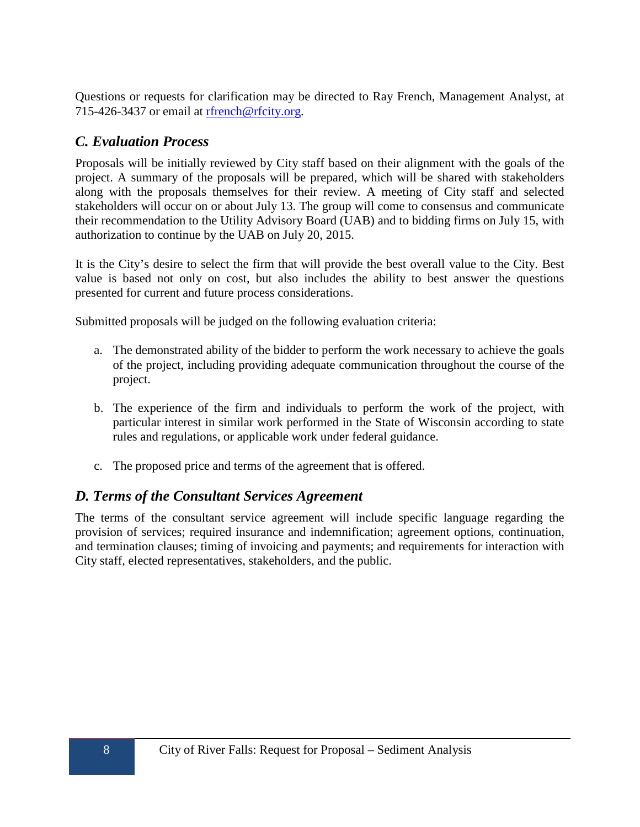Questions or requests for clarification may be directed to Ray French, Management Analyst, at 715-426-3437 or email at [rfrench@rfcity.org.](mailto:rfrench@rfcity.org)

## <span id="page-11-0"></span>*C. Evaluation Process*

Proposals will be initially reviewed by City staff based on their alignment with the goals of the project. A summary of the proposals will be prepared, which will be shared with stakeholders along with the proposals themselves for their review. A meeting of City staff and selected stakeholders will occur on or about July 13. The group will come to consensus and communicate their recommendation to the Utility Advisory Board (UAB) and to bidding firms on July 15, with authorization to continue by the UAB on July 20, 2015.

It is the City's desire to select the firm that will provide the best overall value to the City. Best value is based not only on cost, but also includes the ability to best answer the questions presented for current and future process considerations.

Submitted proposals will be judged on the following evaluation criteria:

- a. The demonstrated ability of the bidder to perform the work necessary to achieve the goals of the project, including providing adequate communication throughout the course of the project.
- b. The experience of the firm and individuals to perform the work of the project, with particular interest in similar work performed in the State of Wisconsin according to state rules and regulations, or applicable work under federal guidance.
- c. The proposed price and terms of the agreement that is offered.

# <span id="page-11-1"></span>*D. Terms of the Consultant Services Agreement*

The terms of the consultant service agreement will include specific language regarding the provision of services; required insurance and indemnification; agreement options, continuation, and termination clauses; timing of invoicing and payments; and requirements for interaction with City staff, elected representatives, stakeholders, and the public.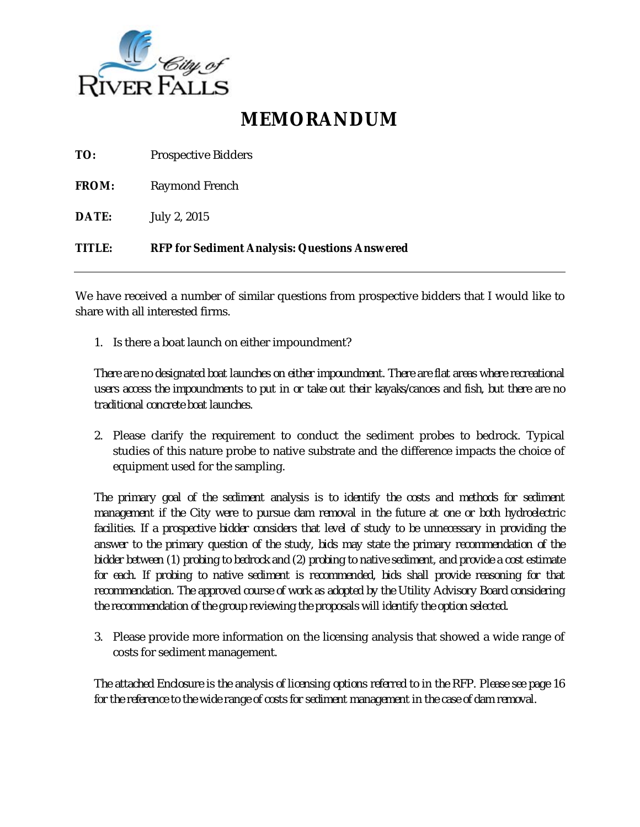

# **MEMORANDUM**

| <b>TITLE:</b> | <b>RFP for Sediment Analysis: Questions Answered</b> |
|---------------|------------------------------------------------------|
| DATE:         | July 2, 2015                                         |
| FROM:         | Raymond French                                       |
| TO:           | <b>Prospective Bidders</b>                           |

We have received a number of similar questions from prospective bidders that I would like to share with all interested firms.

1. Is there a boat launch on either impoundment?

*There are no designated boat launches on either impoundment. There are flat areas where recreational users access the impoundments to put in or take out their kayaks/canoes and fish, but there are no traditional concrete boat launches.*

2. Please clarify the requirement to conduct the sediment probes to bedrock. Typical studies of this nature probe to native substrate and the difference impacts the choice of equipment used for the sampling.

*The primary goal of the sediment analysis is to identify the costs and methods for sediment management if the City were to pursue dam removal in the future at one or both hydroelectric*  facilities. If a prospective bidder considers that level of study to be unnecessary in providing the *answer to the primary question of the study, bids may state the primary recommendation of the bidder between (1) probing to bedrock and (2) probing to native sediment, and provide a cost estimate for each. If probing to native sediment is recommended, bids shall provide reasoning for that recommendation. The approved course of work as adopted by the Utility Advisory Board considering the recommendation of the group reviewing the proposals will identify the option selected.*

3. Please provide more information on the licensing analysis that showed a wide range of costs for sediment management.

*The attached Enclosure is the analysis of licensing options referred to in the RFP. Please see page 16 for the reference to the wide range of costs for sediment management in the case of dam removal.*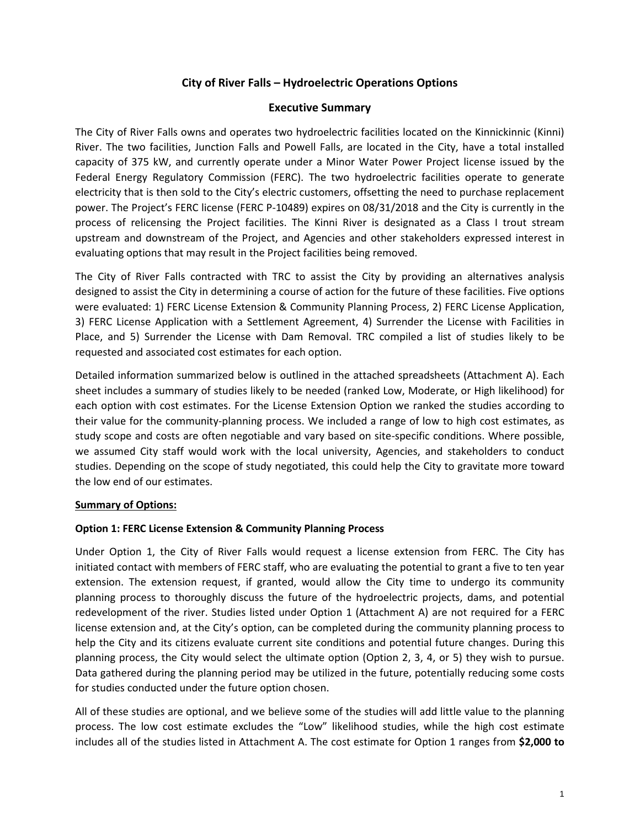### **City of River Falls – Hydroelectric Operations Options**

### **Executive Summary**

The City of River Falls owns and operates two hydroelectric facilities located on the Kinnickinnic (Kinni) River. The two facilities, Junction Falls and Powell Falls, are located in the City, have a total installed capacity of 375 kW, and currently operate under a Minor Water Power Project license issued by the Federal Energy Regulatory Commission (FERC). The two hydroelectric facilities operate to generate electricity that is then sold to the City's electric customers, offsetting the need to purchase replacement power. The Project's FERC license (FERC P-10489) expires on 08/31/2018 and the City is currently in the process of relicensing the Project facilities. The Kinni River is designated as a Class I trout stream upstream and downstream of the Project, and Agencies and other stakeholders expressed interest in evaluating options that may result in the Project facilities being removed.

The City of River Falls contracted with TRC to assist the City by providing an alternatives analysis designed to assist the City in determining a course of action for the future of these facilities. Five options were evaluated: 1) FERC License Extension & Community Planning Process, 2) FERC License Application, 3) FERC License Application with a Settlement Agreement, 4) Surrender the License with Facilities in Place, and 5) Surrender the License with Dam Removal. TRC compiled a list of studies likely to be requested and associated cost estimates for each option.

Detailed information summarized below is outlined in the attached spreadsheets (Attachment A). Each sheet includes a summary of studies likely to be needed (ranked Low, Moderate, or High likelihood) for each option with cost estimates. For the License Extension Option we ranked the studies according to their value for the community-planning process. We included a range of low to high cost estimates, as study scope and costs are often negotiable and vary based on site-specific conditions. Where possible, we assumed City staff would work with the local university, Agencies, and stakeholders to conduct studies. Depending on the scope of study negotiated, this could help the City to gravitate more toward the low end of our estimates.

### **Summary of Options:**

### **Option 1: FERC License Extension & Community Planning Process**

Under Option 1, the City of River Falls would request a license extension from FERC. The City has initiated contact with members of FERC staff, who are evaluating the potential to grant a five to ten year extension. The extension request, if granted, would allow the City time to undergo its community planning process to thoroughly discuss the future of the hydroelectric projects, dams, and potential redevelopment of the river. Studies listed under Option 1 (Attachment A) are not required for a FERC license extension and, at the City's option, can be completed during the community planning process to help the City and its citizens evaluate current site conditions and potential future changes. During this planning process, the City would select the ultimate option (Option 2, 3, 4, or 5) they wish to pursue. Data gathered during the planning period may be utilized in the future, potentially reducing some costs for studies conducted under the future option chosen.

All of these studies are optional, and we believe some of the studies will add little value to the planning process. The low cost estimate excludes the "Low" likelihood studies, while the high cost estimate includes all of the studies listed in Attachment A. The cost estimate for Option 1 ranges from **\$2,000 to**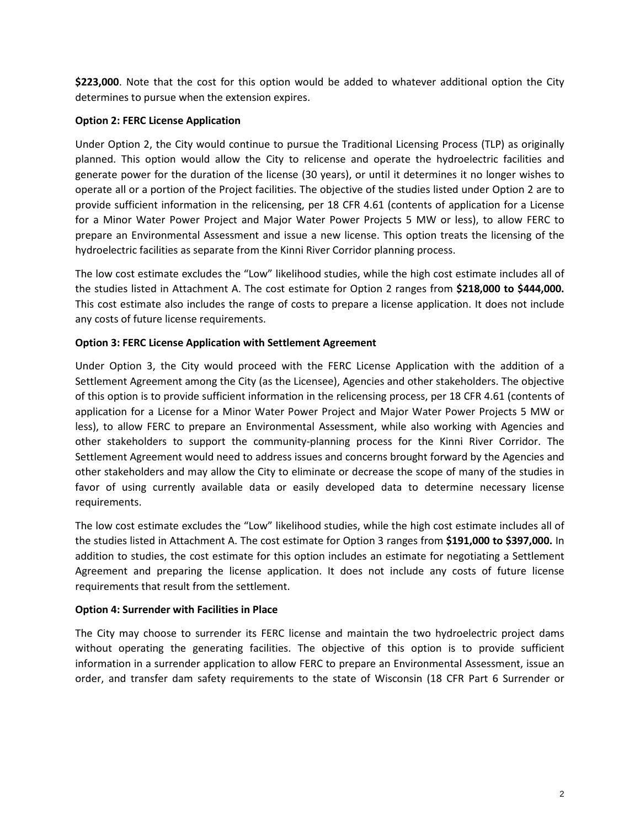**\$223,000**. Note that the cost for this option would be added to whatever additional option the City determines to pursue when the extension expires.

### **Option 2: FERC License Application**

Under Option 2, the City would continue to pursue the Traditional Licensing Process (TLP) as originally planned. This option would allow the City to relicense and operate the hydroelectric facilities and generate power for the duration of the license (30 years), or until it determines it no longer wishes to operate all or a portion of the Project facilities. The objective of the studies listed under Option 2 are to provide sufficient information in the relicensing, per 18 CFR 4.61 (contents of application for a License for a Minor Water Power Project and Major Water Power Projects 5 MW or less), to allow FERC to prepare an Environmental Assessment and issue a new license. This option treats the licensing of the hydroelectric facilities as separate from the Kinni River Corridor planning process.

The low cost estimate excludes the "Low" likelihood studies, while the high cost estimate includes all of the studies listed in Attachment A. The cost estimate for Option 2 ranges from **\$218,000 to \$444,000.** This cost estimate also includes the range of costs to prepare a license application. It does not include any costs of future license requirements.

### **Option 3: FERC License Application with Settlement Agreement**

Under Option 3, the City would proceed with the FERC License Application with the addition of a Settlement Agreement among the City (as the Licensee), Agencies and other stakeholders. The objective of this option is to provide sufficient information in the relicensing process, per 18 CFR 4.61 (contents of application for a License for a Minor Water Power Project and Major Water Power Projects 5 MW or less), to allow FERC to prepare an Environmental Assessment, while also working with Agencies and other stakeholders to support the community-planning process for the Kinni River Corridor. The Settlement Agreement would need to address issues and concerns brought forward by the Agencies and other stakeholders and may allow the City to eliminate or decrease the scope of many of the studies in favor of using currently available data or easily developed data to determine necessary license requirements.

The low cost estimate excludes the "Low" likelihood studies, while the high cost estimate includes all of the studies listed in Attachment A. The cost estimate for Option 3 ranges from **\$191,000 to \$397,000.** In addition to studies, the cost estimate for this option includes an estimate for negotiating a Settlement Agreement and preparing the license application. It does not include any costs of future license requirements that result from the settlement.

### **Option 4: Surrender with Facilities in Place**

The City may choose to surrender its FERC license and maintain the two hydroelectric project dams without operating the generating facilities. The objective of this option is to provide sufficient information in a surrender application to allow FERC to prepare an Environmental Assessment, issue an order, and transfer dam safety requirements to the state of Wisconsin (18 CFR Part 6 Surrender or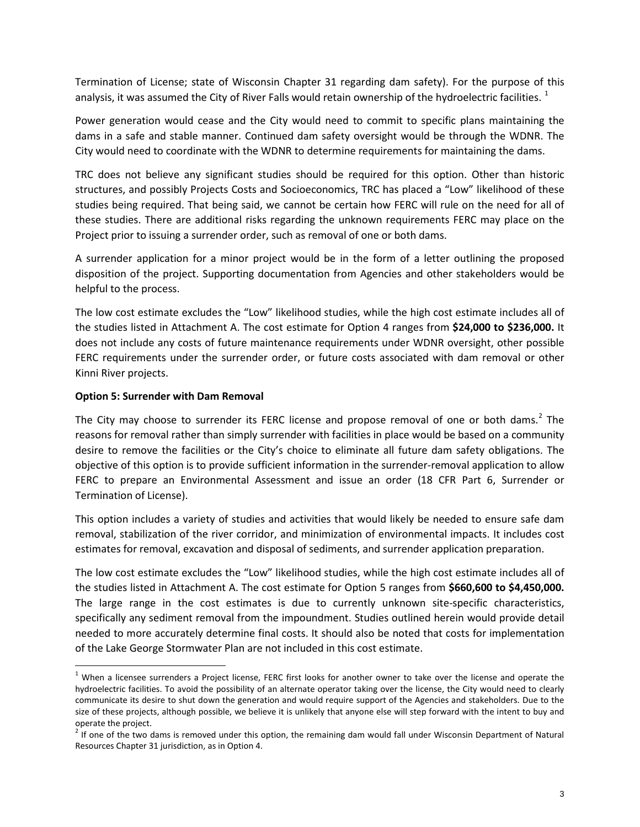Termination of License; state of Wisconsin Chapter 31 regarding dam safety). For the purpose of this analysis, it was assumed the City of River Falls would retain ownership of the hydroelectric facilities.  $1$ 

Power generation would cease and the City would need to commit to specific plans maintaining the dams in a safe and stable manner. Continued dam safety oversight would be through the WDNR. The City would need to coordinate with the WDNR to determine requirements for maintaining the dams.

TRC does not believe any significant studies should be required for this option. Other than historic structures, and possibly Projects Costs and Socioeconomics, TRC has placed a "Low" likelihood of these studies being required. That being said, we cannot be certain how FERC will rule on the need for all of these studies. There are additional risks regarding the unknown requirements FERC may place on the Project prior to issuing a surrender order, such as removal of one or both dams.

A surrender application for a minor project would be in the form of a letter outlining the proposed disposition of the project. Supporting documentation from Agencies and other stakeholders would be helpful to the process.

The low cost estimate excludes the "Low" likelihood studies, while the high cost estimate includes all of the studies listed in Attachment A. The cost estimate for Option 4 ranges from **\$24,000 to \$236,000.** It does not include any costs of future maintenance requirements under WDNR oversight, other possible FERC requirements under the surrender order, or future costs associated with dam removal or other Kinni River projects.

### **Option 5: Surrender with Dam Removal**

The City may choose to surrender its FERC license and propose removal of one or both dams.<sup>[2](#page-15-1)</sup> The reasons for removal rather than simply surrender with facilities in place would be based on a community desire to remove the facilities or the City's choice to eliminate all future dam safety obligations. The objective of this option is to provide sufficient information in the surrender-removal application to allow FERC to prepare an Environmental Assessment and issue an order (18 CFR Part 6, Surrender or Termination of License).

This option includes a variety of studies and activities that would likely be needed to ensure safe dam removal, stabilization of the river corridor, and minimization of environmental impacts. It includes cost estimates for removal, excavation and disposal of sediments, and surrender application preparation.

The low cost estimate excludes the "Low" likelihood studies, while the high cost estimate includes all of the studies listed in Attachment A. The cost estimate for Option 5 ranges from **\$660,600 to \$4,450,000.** The large range in the cost estimates is due to currently unknown site-specific characteristics, specifically any sediment removal from the impoundment. Studies outlined herein would provide detail needed to more accurately determine final costs. It should also be noted that costs for implementation of the Lake George Stormwater Plan are not included in this cost estimate.

<span id="page-15-0"></span> $1$  When a licensee surrenders a Project license, FERC first looks for another owner to take over the license and operate the hydroelectric facilities. To avoid the possibility of an alternate operator taking over the license, the City would need to clearly communicate its desire to shut down the generation and would require support of the Agencies and stakeholders. Due to the size of these projects, although possible, we believe it is unlikely that anyone else will step forward with the intent to buy and operate the project.

<span id="page-15-1"></span> $2$  If one of the two dams is removed under this option, the remaining dam would fall under Wisconsin Department of Natural Resources Chapter 31 jurisdiction, as in Option 4.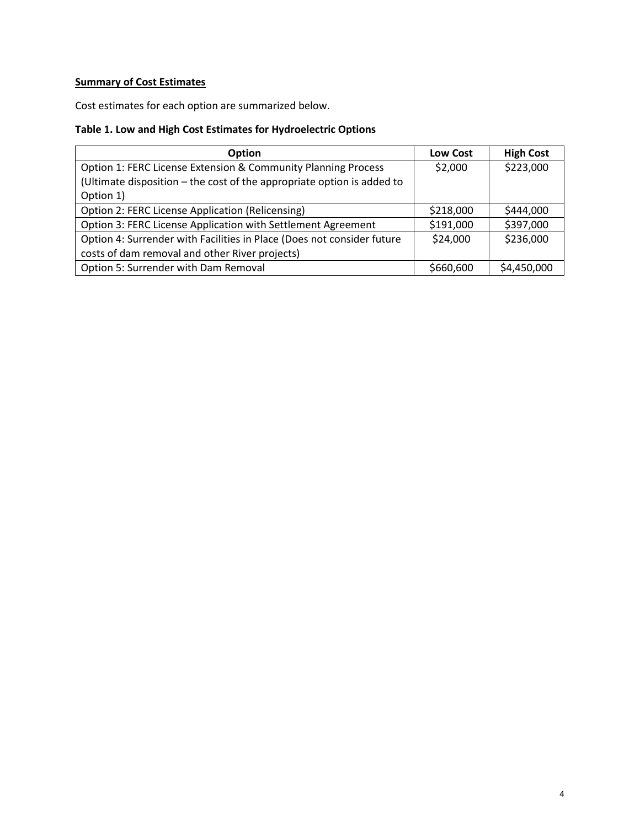# **Summary of Cost Estimates**

Cost estimates for each option are summarized below.

## **Table 1. Low and High Cost Estimates for Hydroelectric Options**

| <b>Option</b>                                                          | <b>Low Cost</b> | <b>High Cost</b> |
|------------------------------------------------------------------------|-----------------|------------------|
| Option 1: FERC License Extension & Community Planning Process          | \$2,000         | \$223,000        |
| (Ultimate disposition - the cost of the appropriate option is added to |                 |                  |
| Option 1)                                                              |                 |                  |
| <b>Option 2: FERC License Application (Relicensing)</b>                | \$218,000       | \$444,000        |
| Option 3: FERC License Application with Settlement Agreement           | \$191,000       | \$397,000        |
| Option 4: Surrender with Facilities in Place (Does not consider future | \$24,000        | \$236,000        |
| costs of dam removal and other River projects)                         |                 |                  |
| Option 5: Surrender with Dam Removal                                   | \$660,600       | \$4,450,000      |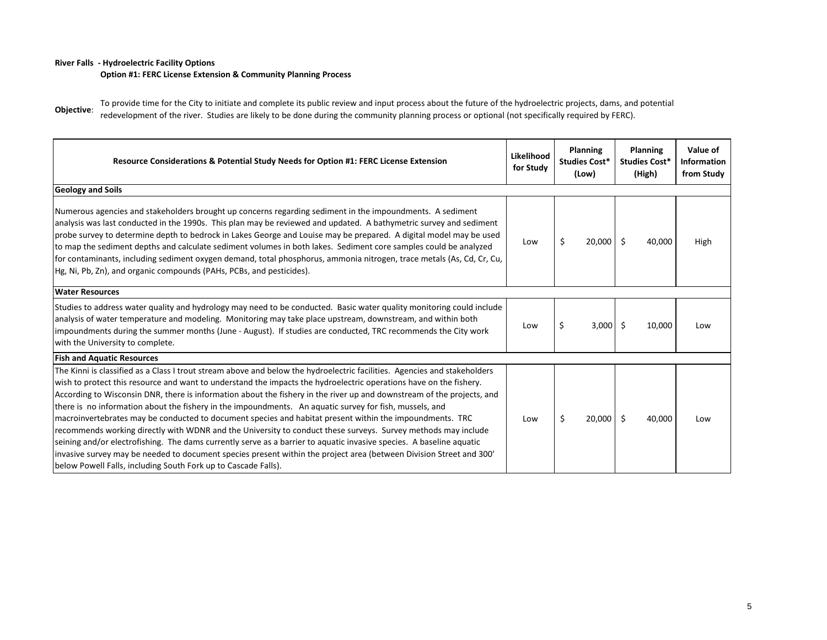#### **River Falls - Hydroelectric Facility Options**

**Option #1: FERC License Extension & Community Planning Process**

**Objective**: To provide time for the City to initiate and complete its public review and input process about the future of the hydroelectric projects, dams, and potential redevelopment of the river. Studies are likely to be done during the community planning process or optional (not specifically required by FERC).

| Resource Considerations & Potential Study Needs for Option #1: FERC License Extension                                                                                                                                                                                                                                                                                                                                                                                                                                                                                                                                                                                                                                                                                                                                                                                                                                                                                                                                              | Likelihood<br>for Study | Planning<br>Studies Cost*<br>(Low) |             |              |      |  |  |  |  |  |  |  |  |  |  |  |  |  |  |  |  |  |  |  |  |  |  |  |  | Planning<br><b>Studies Cost*</b><br>(High) | Value of<br>Information<br>from Study |
|------------------------------------------------------------------------------------------------------------------------------------------------------------------------------------------------------------------------------------------------------------------------------------------------------------------------------------------------------------------------------------------------------------------------------------------------------------------------------------------------------------------------------------------------------------------------------------------------------------------------------------------------------------------------------------------------------------------------------------------------------------------------------------------------------------------------------------------------------------------------------------------------------------------------------------------------------------------------------------------------------------------------------------|-------------------------|------------------------------------|-------------|--------------|------|--|--|--|--|--|--|--|--|--|--|--|--|--|--|--|--|--|--|--|--|--|--|--|--|--------------------------------------------|---------------------------------------|
| <b>Geology and Soils</b>                                                                                                                                                                                                                                                                                                                                                                                                                                                                                                                                                                                                                                                                                                                                                                                                                                                                                                                                                                                                           |                         |                                    |             |              |      |  |  |  |  |  |  |  |  |  |  |  |  |  |  |  |  |  |  |  |  |  |  |  |  |                                            |                                       |
| Numerous agencies and stakeholders brought up concerns regarding sediment in the impoundments. A sediment<br>analysis was last conducted in the 1990s. This plan may be reviewed and updated. A bathymetric survey and sediment<br>probe survey to determine depth to bedrock in Lakes George and Louise may be prepared. A digital model may be used<br>to map the sediment depths and calculate sediment volumes in both lakes. Sediment core samples could be analyzed<br>for contaminants, including sediment oxygen demand, total phosphorus, ammonia nitrogen, trace metals (As, Cd, Cr, Cu,<br>Hg, Ni, Pb, Zn), and organic compounds (PAHs, PCBs, and pesticides).                                                                                                                                                                                                                                                                                                                                                         | Low                     | Ś                                  | $20,000$ \$ | 40,000       | High |  |  |  |  |  |  |  |  |  |  |  |  |  |  |  |  |  |  |  |  |  |  |  |  |                                            |                                       |
| <b>Water Resources</b>                                                                                                                                                                                                                                                                                                                                                                                                                                                                                                                                                                                                                                                                                                                                                                                                                                                                                                                                                                                                             |                         |                                    |             |              |      |  |  |  |  |  |  |  |  |  |  |  |  |  |  |  |  |  |  |  |  |  |  |  |  |                                            |                                       |
| Studies to address water quality and hydrology may need to be conducted. Basic water quality monitoring could include<br>analysis of water temperature and modeling. Monitoring may take place upstream, downstream, and within both<br>impoundments during the summer months (June - August). If studies are conducted, TRC recommends the City work<br>with the University to complete.                                                                                                                                                                                                                                                                                                                                                                                                                                                                                                                                                                                                                                          | Low                     | \$                                 | $3,000$ \$  | 10,000       | Low  |  |  |  |  |  |  |  |  |  |  |  |  |  |  |  |  |  |  |  |  |  |  |  |  |                                            |                                       |
| <b>Fish and Aquatic Resources</b>                                                                                                                                                                                                                                                                                                                                                                                                                                                                                                                                                                                                                                                                                                                                                                                                                                                                                                                                                                                                  |                         |                                    |             |              |      |  |  |  |  |  |  |  |  |  |  |  |  |  |  |  |  |  |  |  |  |  |  |  |  |                                            |                                       |
| The Kinni is classified as a Class I trout stream above and below the hydroelectric facilities. Agencies and stakeholders<br>wish to protect this resource and want to understand the impacts the hydroelectric operations have on the fishery.<br>According to Wisconsin DNR, there is information about the fishery in the river up and downstream of the projects, and<br>there is no information about the fishery in the impoundments. An aquatic survey for fish, mussels, and<br>macroinvertebrates may be conducted to document species and habitat present within the impoundments. TRC<br>recommends working directly with WDNR and the University to conduct these surveys. Survey methods may include<br>seining and/or electrofishing. The dams currently serve as a barrier to aquatic invasive species. A baseline aquatic<br>invasive survey may be needed to document species present within the project area (between Division Street and 300'<br>below Powell Falls, including South Fork up to Cascade Falls). | Low                     | \$                                 | 20,000      | Ŝ.<br>40,000 | Low  |  |  |  |  |  |  |  |  |  |  |  |  |  |  |  |  |  |  |  |  |  |  |  |  |                                            |                                       |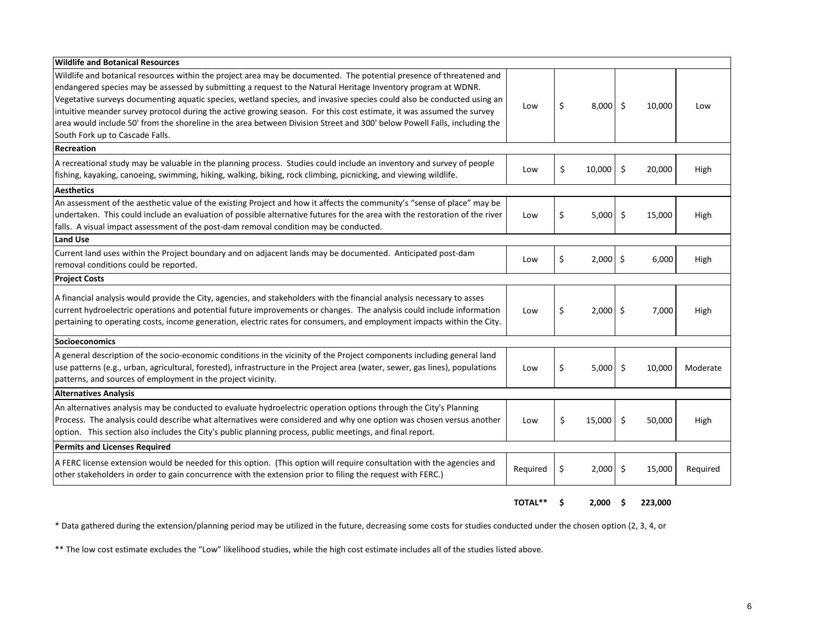| Wildlife and Botanical Resources                                                                                                                                                                                                                                                                                                                                                                                                                                                                                                                                                                                                                        |          |                  |    |        |          |
|---------------------------------------------------------------------------------------------------------------------------------------------------------------------------------------------------------------------------------------------------------------------------------------------------------------------------------------------------------------------------------------------------------------------------------------------------------------------------------------------------------------------------------------------------------------------------------------------------------------------------------------------------------|----------|------------------|----|--------|----------|
| Wildlife and botanical resources within the project area may be documented. The potential presence of threatened and<br>endangered species may be assessed by submitting a request to the Natural Heritage Inventory program at WDNR.<br>Vegetative surveys documenting aquatic species, wetland species, and invasive species could also be conducted using an<br>intuitive meander survey protocol during the active growing season. For this cost estimate, it was assumed the survey<br>area would include 50' from the shoreline in the area between Division Street and 300' below Powell Falls, including the<br>South Fork up to Cascade Falls. | Low      | \$<br>8,000      | Ŝ. | 10,000 | Low      |
| Recreation                                                                                                                                                                                                                                                                                                                                                                                                                                                                                                                                                                                                                                              |          |                  |    |        |          |
| A recreational study may be valuable in the planning process. Studies could include an inventory and survey of people<br>fishing, kayaking, canoeing, swimming, hiking, walking, biking, rock climbing, picnicking, and viewing wildlife.                                                                                                                                                                                                                                                                                                                                                                                                               | Low      | \$<br>10,000     | Ŝ. | 20,000 | High     |
| Aesthetics                                                                                                                                                                                                                                                                                                                                                                                                                                                                                                                                                                                                                                              |          |                  |    |        |          |
| An assessment of the aesthetic value of the existing Project and how it affects the community's "sense of place" may be<br>undertaken. This could include an evaluation of possible alternative futures for the area with the restoration of the river<br>falls. A visual impact assessment of the post-dam removal condition may be conducted.                                                                                                                                                                                                                                                                                                         | Low      | \$<br>5,000      | \$ | 15,000 | High     |
| <b>Land Use</b>                                                                                                                                                                                                                                                                                                                                                                                                                                                                                                                                                                                                                                         |          |                  |    |        |          |
| Current land uses within the Project boundary and on adjacent lands may be documented. Anticipated post-dam<br>removal conditions could be reported.                                                                                                                                                                                                                                                                                                                                                                                                                                                                                                    | Low      | \$<br>$2,000$ \$ |    | 6,000  | High     |
| <b>Project Costs</b>                                                                                                                                                                                                                                                                                                                                                                                                                                                                                                                                                                                                                                    |          |                  |    |        |          |
| A financial analysis would provide the City, agencies, and stakeholders with the financial analysis necessary to asses<br>current hydroelectric operations and potential future improvements or changes. The analysis could include information<br>pertaining to operating costs, income generation, electric rates for consumers, and employment impacts within the City.                                                                                                                                                                                                                                                                              | Low      | \$<br>$2,000$ \$ |    | 7,000  | High     |
| Socioeconomics                                                                                                                                                                                                                                                                                                                                                                                                                                                                                                                                                                                                                                          |          |                  |    |        |          |
| A general description of the socio-economic conditions in the vicinity of the Project components including general land<br>use patterns (e.g., urban, agricultural, forested), infrastructure in the Project area (water, sewer, gas lines), populations<br>patterns, and sources of employment in the project vicinity.                                                                                                                                                                                                                                                                                                                                | Low      | \$<br>5,000      | Ŝ. | 10,000 | Moderate |
| <b>Alternatives Analysis</b>                                                                                                                                                                                                                                                                                                                                                                                                                                                                                                                                                                                                                            |          |                  |    |        |          |
| An alternatives analysis may be conducted to evaluate hydroelectric operation options through the City's Planning<br>Process. The analysis could describe what alternatives were considered and why one option was chosen versus another<br>option. This section also includes the City's public planning process, public meetings, and final report.                                                                                                                                                                                                                                                                                                   | Low      | \$<br>15,000 \$  |    | 50,000 | High     |
| <b>Permits and Licenses Required</b>                                                                                                                                                                                                                                                                                                                                                                                                                                                                                                                                                                                                                    |          |                  |    |        |          |
| A FERC license extension would be needed for this option. (This option will require consultation with the agencies and<br>other stakeholders in order to gain concurrence with the extension prior to filing the request with FERC.)                                                                                                                                                                                                                                                                                                                                                                                                                    | Required | \$<br>2,000      | \$ | 15,000 | Required |

**TOTAL\*\* \$ 2,000 \$ 223,000**

\* Data gathered during the extension/planning period may be utilized in the future, decreasing some costs for studies conducted under the chosen option (2, 3, 4, or

\*\* The low cost estimate excludes the "Low" likelihood studies, while the high cost estimate includes all of the studies listed above.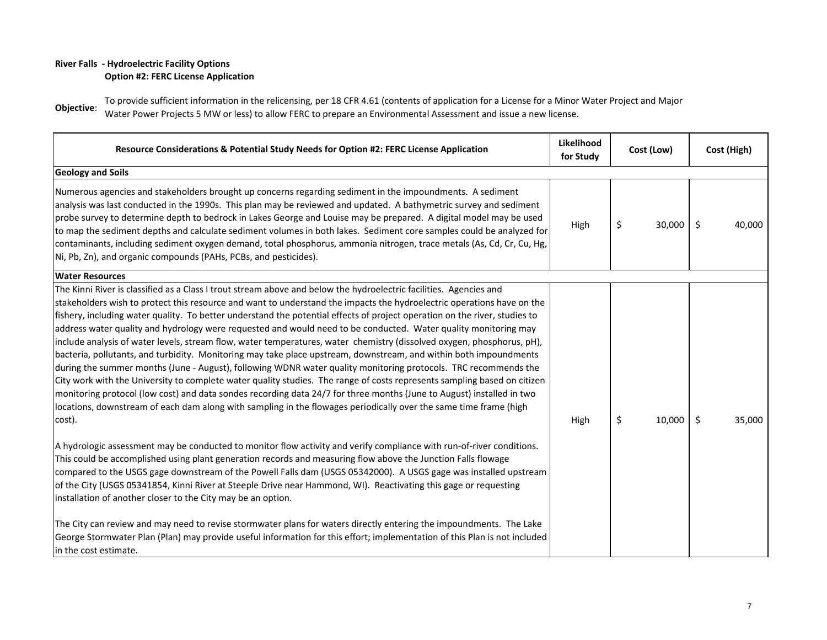### **River Falls - Hydroelectric Facility Options Option #2: FERC License Application**

**Objective**: To provide sufficient information in the relicensing, per 18 CFR 4.61 (contents of application for a License for a Minor Water Project and Major Water Power Projects 5 MW or less) to allow FERC to prepare an Environmental Assessment and issue a new license.

| Resource Considerations & Potential Study Needs for Option #2: FERC License Application                                                                                                                                                                                                                                                                                                                                                                                                                                                                                                                                                                                                                                                                                                                                                                                                                                                                                                                                                                                                                                                                                                                                                             | Likelihood<br>for Study | Cost (Low)   | Cost (High)       |
|-----------------------------------------------------------------------------------------------------------------------------------------------------------------------------------------------------------------------------------------------------------------------------------------------------------------------------------------------------------------------------------------------------------------------------------------------------------------------------------------------------------------------------------------------------------------------------------------------------------------------------------------------------------------------------------------------------------------------------------------------------------------------------------------------------------------------------------------------------------------------------------------------------------------------------------------------------------------------------------------------------------------------------------------------------------------------------------------------------------------------------------------------------------------------------------------------------------------------------------------------------|-------------------------|--------------|-------------------|
| <b>Geology and Soils</b>                                                                                                                                                                                                                                                                                                                                                                                                                                                                                                                                                                                                                                                                                                                                                                                                                                                                                                                                                                                                                                                                                                                                                                                                                            |                         |              |                   |
| Numerous agencies and stakeholders brought up concerns regarding sediment in the impoundments. A sediment<br>analysis was last conducted in the 1990s. This plan may be reviewed and updated. A bathymetric survey and sediment<br>probe survey to determine depth to bedrock in Lakes George and Louise may be prepared. A digital model may be used<br>to map the sediment depths and calculate sediment volumes in both lakes. Sediment core samples could be analyzed for<br>contaminants, including sediment oxygen demand, total phosphorus, ammonia nitrogen, trace metals (As, Cd, Cr, Cu, Hg,<br>Ni, Pb, Zn), and organic compounds (PAHs, PCBs, and pesticides).                                                                                                                                                                                                                                                                                                                                                                                                                                                                                                                                                                          | High                    | \$<br>30,000 | \$<br>40,000      |
| <b>Water Resources</b>                                                                                                                                                                                                                                                                                                                                                                                                                                                                                                                                                                                                                                                                                                                                                                                                                                                                                                                                                                                                                                                                                                                                                                                                                              |                         |              |                   |
| The Kinni River is classified as a Class I trout stream above and below the hydroelectric facilities. Agencies and<br>stakeholders wish to protect this resource and want to understand the impacts the hydroelectric operations have on the<br>fishery, including water quality. To better understand the potential effects of project operation on the river, studies to<br>address water quality and hydrology were requested and would need to be conducted. Water quality monitoring may<br>include analysis of water levels, stream flow, water temperatures, water chemistry (dissolved oxygen, phosphorus, pH),<br>bacteria, pollutants, and turbidity. Monitoring may take place upstream, downstream, and within both impoundments<br>during the summer months (June - August), following WDNR water quality monitoring protocols. TRC recommends the<br>City work with the University to complete water quality studies. The range of costs represents sampling based on citizen<br>monitoring protocol (low cost) and data sondes recording data 24/7 for three months (June to August) installed in two<br>locations, downstream of each dam along with sampling in the flowages periodically over the same time frame (high<br>cost). | High                    | \$<br>10,000 | $\zeta$<br>35,000 |
| A hydrologic assessment may be conducted to monitor flow activity and verify compliance with run-of-river conditions.<br>This could be accomplished using plant generation records and measuring flow above the Junction Falls flowage<br>compared to the USGS gage downstream of the Powell Falls dam (USGS 05342000). A USGS gage was installed upstream<br>of the City (USGS 05341854, Kinni River at Steeple Drive near Hammond, WI). Reactivating this gage or requesting<br>installation of another closer to the City may be an option.<br>The City can review and may need to revise stormwater plans for waters directly entering the impoundments. The Lake<br>George Stormwater Plan (Plan) may provide useful information for this effort; implementation of this Plan is not included                                                                                                                                                                                                                                                                                                                                                                                                                                                  |                         |              |                   |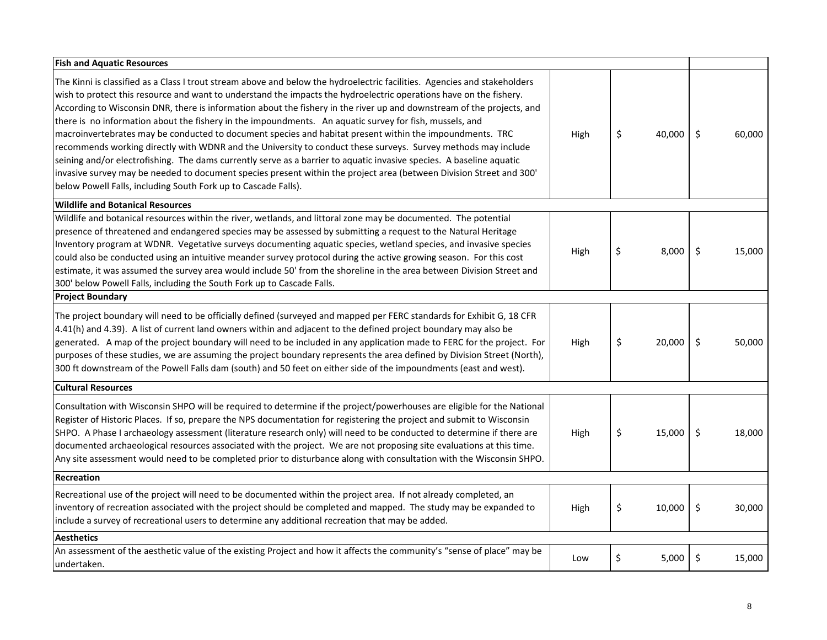| <b>Fish and Aquatic Resources</b>                                                                                                                                                                                                                                                                                                                                                                                                                                                                                                                                                                                                                                                                                                                                                                                                                                                                                                                                                                                                  |      |              |         |        |
|------------------------------------------------------------------------------------------------------------------------------------------------------------------------------------------------------------------------------------------------------------------------------------------------------------------------------------------------------------------------------------------------------------------------------------------------------------------------------------------------------------------------------------------------------------------------------------------------------------------------------------------------------------------------------------------------------------------------------------------------------------------------------------------------------------------------------------------------------------------------------------------------------------------------------------------------------------------------------------------------------------------------------------|------|--------------|---------|--------|
| The Kinni is classified as a Class I trout stream above and below the hydroelectric facilities. Agencies and stakeholders<br>wish to protect this resource and want to understand the impacts the hydroelectric operations have on the fishery.<br>According to Wisconsin DNR, there is information about the fishery in the river up and downstream of the projects, and<br>there is no information about the fishery in the impoundments. An aquatic survey for fish, mussels, and<br>macroinvertebrates may be conducted to document species and habitat present within the impoundments. TRC<br>recommends working directly with WDNR and the University to conduct these surveys. Survey methods may include<br>seining and/or electrofishing. The dams currently serve as a barrier to aquatic invasive species. A baseline aquatic<br>invasive survey may be needed to document species present within the project area (between Division Street and 300'<br>below Powell Falls, including South Fork up to Cascade Falls). | High | \$<br>40,000 | \$      | 60,000 |
| <b>Wildlife and Botanical Resources</b>                                                                                                                                                                                                                                                                                                                                                                                                                                                                                                                                                                                                                                                                                                                                                                                                                                                                                                                                                                                            |      |              |         |        |
| Wildlife and botanical resources within the river, wetlands, and littoral zone may be documented. The potential<br>presence of threatened and endangered species may be assessed by submitting a request to the Natural Heritage<br>Inventory program at WDNR. Vegetative surveys documenting aquatic species, wetland species, and invasive species<br>could also be conducted using an intuitive meander survey protocol during the active growing season. For this cost<br>estimate, it was assumed the survey area would include 50' from the shoreline in the area between Division Street and<br>300' below Powell Falls, including the South Fork up to Cascade Falls.                                                                                                                                                                                                                                                                                                                                                      | High | \$<br>8,000  | \$      | 15,000 |
| <b>Project Boundary</b>                                                                                                                                                                                                                                                                                                                                                                                                                                                                                                                                                                                                                                                                                                                                                                                                                                                                                                                                                                                                            |      |              |         |        |
| The project boundary will need to be officially defined (surveyed and mapped per FERC standards for Exhibit G, 18 CFR<br>4.41(h) and 4.39). A list of current land owners within and adjacent to the defined project boundary may also be<br>generated. A map of the project boundary will need to be included in any application made to FERC for the project. For<br>purposes of these studies, we are assuming the project boundary represents the area defined by Division Street (North),<br>300 ft downstream of the Powell Falls dam (south) and 50 feet on either side of the impoundments (east and west).                                                                                                                                                                                                                                                                                                                                                                                                                | High | \$<br>20,000 | \$      | 50,000 |
| <b>Cultural Resources</b>                                                                                                                                                                                                                                                                                                                                                                                                                                                                                                                                                                                                                                                                                                                                                                                                                                                                                                                                                                                                          |      |              |         |        |
| Consultation with Wisconsin SHPO will be required to determine if the project/powerhouses are eligible for the National<br>Register of Historic Places. If so, prepare the NPS documentation for registering the project and submit to Wisconsin<br>SHPO. A Phase I archaeology assessment (literature research only) will need to be conducted to determine if there are<br>documented archaeological resources associated with the project. We are not proposing site evaluations at this time.<br>Any site assessment would need to be completed prior to disturbance along with consultation with the Wisconsin SHPO.                                                                                                                                                                                                                                                                                                                                                                                                          | High | \$<br>15,000 | $\zeta$ | 18,000 |
| Recreation                                                                                                                                                                                                                                                                                                                                                                                                                                                                                                                                                                                                                                                                                                                                                                                                                                                                                                                                                                                                                         |      |              |         |        |
| Recreational use of the project will need to be documented within the project area. If not already completed, an<br>inventory of recreation associated with the project should be completed and mapped. The study may be expanded to<br>include a survey of recreational users to determine any additional recreation that may be added.                                                                                                                                                                                                                                                                                                                                                                                                                                                                                                                                                                                                                                                                                           | High | \$<br>10,000 | \$      | 30,000 |
| <b>Aesthetics</b>                                                                                                                                                                                                                                                                                                                                                                                                                                                                                                                                                                                                                                                                                                                                                                                                                                                                                                                                                                                                                  |      |              |         |        |
| An assessment of the aesthetic value of the existing Project and how it affects the community's "sense of place" may be<br>undertaken.                                                                                                                                                                                                                                                                                                                                                                                                                                                                                                                                                                                                                                                                                                                                                                                                                                                                                             | Low  | \$<br>5,000  | \$      | 15,000 |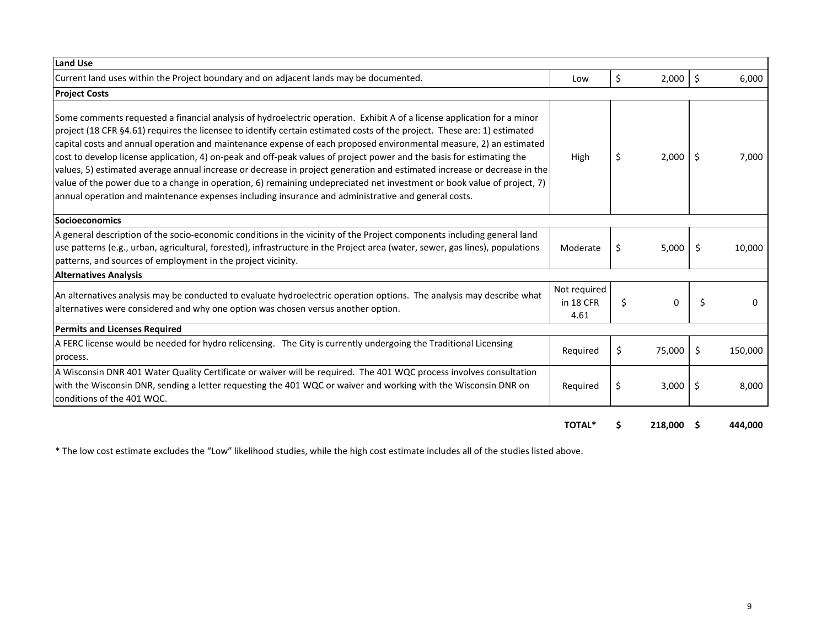| Land Use                                                                                                                                                                                                                                                                                                                                                                                                                                                                                                                                                                                                                                                                                                                                                                                                                                                         |                                   |    |         |    |         |
|------------------------------------------------------------------------------------------------------------------------------------------------------------------------------------------------------------------------------------------------------------------------------------------------------------------------------------------------------------------------------------------------------------------------------------------------------------------------------------------------------------------------------------------------------------------------------------------------------------------------------------------------------------------------------------------------------------------------------------------------------------------------------------------------------------------------------------------------------------------|-----------------------------------|----|---------|----|---------|
| Current land uses within the Project boundary and on adjacent lands may be documented.                                                                                                                                                                                                                                                                                                                                                                                                                                                                                                                                                                                                                                                                                                                                                                           | Low                               | \$ | 2,000   | \$ | 6,000   |
| <b>Project Costs</b>                                                                                                                                                                                                                                                                                                                                                                                                                                                                                                                                                                                                                                                                                                                                                                                                                                             |                                   |    |         |    |         |
| Some comments requested a financial analysis of hydroelectric operation. Exhibit A of a license application for a minor<br>project (18 CFR §4.61) requires the licensee to identify certain estimated costs of the project. These are: 1) estimated<br>capital costs and annual operation and maintenance expense of each proposed environmental measure, 2) an estimated<br>cost to develop license application, 4) on-peak and off-peak values of project power and the basis for estimating the<br>values, 5) estimated average annual increase or decrease in project generation and estimated increase or decrease in the<br>value of the power due to a change in operation, 6) remaining undepreciated net investment or book value of project, 7)<br>annual operation and maintenance expenses including insurance and administrative and general costs. | High                              | \$ | 2,000   | S  | 7,000   |
| <b>Socioeconomics</b>                                                                                                                                                                                                                                                                                                                                                                                                                                                                                                                                                                                                                                                                                                                                                                                                                                            |                                   |    |         |    |         |
| A general description of the socio-economic conditions in the vicinity of the Project components including general land<br>use patterns (e.g., urban, agricultural, forested), infrastructure in the Project area (water, sewer, gas lines), populations<br>patterns, and sources of employment in the project vicinity.                                                                                                                                                                                                                                                                                                                                                                                                                                                                                                                                         | Moderate                          | \$ | 5,000   | \$ | 10,000  |
| <b>Alternatives Analysis</b>                                                                                                                                                                                                                                                                                                                                                                                                                                                                                                                                                                                                                                                                                                                                                                                                                                     |                                   |    |         |    |         |
| An alternatives analysis may be conducted to evaluate hydroelectric operation options. The analysis may describe what<br>alternatives were considered and why one option was chosen versus another option.                                                                                                                                                                                                                                                                                                                                                                                                                                                                                                                                                                                                                                                       | Not required<br>in 18 CFR<br>4.61 | \$ | 0       | \$ | 0       |
| <b>Permits and Licenses Required</b>                                                                                                                                                                                                                                                                                                                                                                                                                                                                                                                                                                                                                                                                                                                                                                                                                             |                                   |    |         |    |         |
| A FERC license would be needed for hydro relicensing. The City is currently undergoing the Traditional Licensing<br>process.                                                                                                                                                                                                                                                                                                                                                                                                                                                                                                                                                                                                                                                                                                                                     | Required                          | \$ | 75,000  | \$ | 150,000 |
| A Wisconsin DNR 401 Water Quality Certificate or waiver will be required. The 401 WQC process involves consultation<br>with the Wisconsin DNR, sending a letter requesting the 401 WQC or waiver and working with the Wisconsin DNR on<br>conditions of the 401 WQC.                                                                                                                                                                                                                                                                                                                                                                                                                                                                                                                                                                                             | Required                          | \$ | 3,000   | \$ | 8,000   |
|                                                                                                                                                                                                                                                                                                                                                                                                                                                                                                                                                                                                                                                                                                                                                                                                                                                                  | <b>TOTAL*</b>                     | S  | 218,000 |    | 444.000 |

\* The low cost estimate excludes the "Low" likelihood studies, while the high cost estimate includes all of the studies listed above.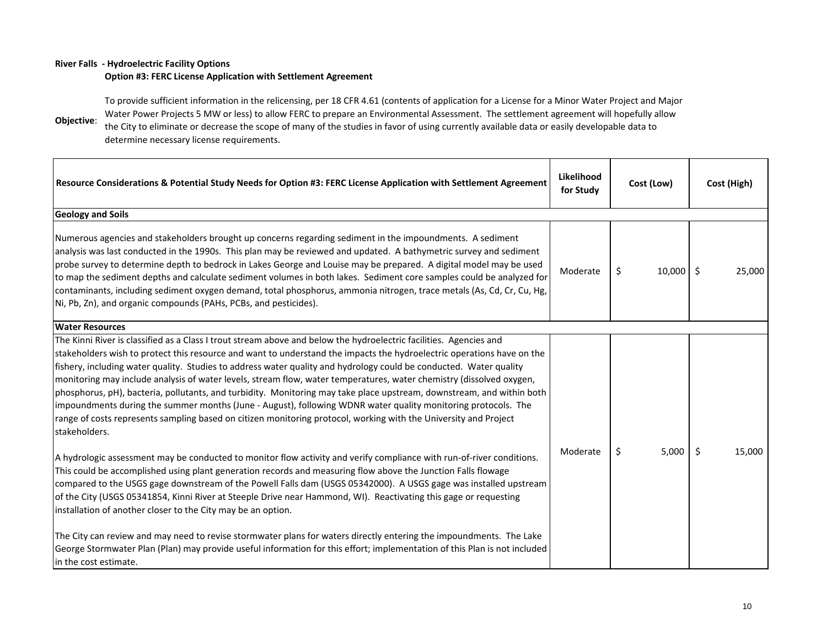#### **River Falls - Hydroelectric Facility Options**

#### **Option #3: FERC License Application with Settlement Agreement**

**Objective**: To provide sufficient information in the relicensing, per 18 CFR 4.61 (contents of application for a License for a Minor Water Project and Major Water Power Projects 5 MW or less) to allow FERC to prepare an Environmental Assessment. The settlement agreement will hopefully allow the City to eliminate or decrease the scope of many of the studies in favor of using currently available data or easily developable data to determine necessary license requirements.

| Resource Considerations & Potential Study Needs for Option #3: FERC License Application with Settlement Agreement                                                                                                                                                                                                                                                                                                                                                                                                                                                                                                                                                                                                                                                                                                                                                         | Likelihood<br>for Study | Cost (Low)   | Cost (High)  |
|---------------------------------------------------------------------------------------------------------------------------------------------------------------------------------------------------------------------------------------------------------------------------------------------------------------------------------------------------------------------------------------------------------------------------------------------------------------------------------------------------------------------------------------------------------------------------------------------------------------------------------------------------------------------------------------------------------------------------------------------------------------------------------------------------------------------------------------------------------------------------|-------------------------|--------------|--------------|
| <b>Geology and Soils</b>                                                                                                                                                                                                                                                                                                                                                                                                                                                                                                                                                                                                                                                                                                                                                                                                                                                  |                         |              |              |
| Numerous agencies and stakeholders brought up concerns regarding sediment in the impoundments. A sediment<br>analysis was last conducted in the 1990s. This plan may be reviewed and updated. A bathymetric survey and sediment<br>probe survey to determine depth to bedrock in Lakes George and Louise may be prepared. A digital model may be used<br>to map the sediment depths and calculate sediment volumes in both lakes. Sediment core samples could be analyzed for<br>contaminants, including sediment oxygen demand, total phosphorus, ammonia nitrogen, trace metals (As, Cd, Cr, Cu, Hg,<br>Ni, Pb, Zn), and organic compounds (PAHs, PCBs, and pesticides).                                                                                                                                                                                                | Moderate                | \$<br>10,000 | \$<br>25,000 |
| <b>Water Resources</b>                                                                                                                                                                                                                                                                                                                                                                                                                                                                                                                                                                                                                                                                                                                                                                                                                                                    |                         |              |              |
| The Kinni River is classified as a Class I trout stream above and below the hydroelectric facilities. Agencies and<br>stakeholders wish to protect this resource and want to understand the impacts the hydroelectric operations have on the<br>fishery, including water quality. Studies to address water quality and hydrology could be conducted. Water quality<br>monitoring may include analysis of water levels, stream flow, water temperatures, water chemistry (dissolved oxygen,<br>phosphorus, pH), bacteria, pollutants, and turbidity. Monitoring may take place upstream, downstream, and within both<br>impoundments during the summer months (June - August), following WDNR water quality monitoring protocols. The<br>range of costs represents sampling based on citizen monitoring protocol, working with the University and Project<br>stakeholders. |                         |              |              |
| A hydrologic assessment may be conducted to monitor flow activity and verify compliance with run-of-river conditions.<br>This could be accomplished using plant generation records and measuring flow above the Junction Falls flowage<br>compared to the USGS gage downstream of the Powell Falls dam (USGS 05342000). A USGS gage was installed upstream<br>of the City (USGS 05341854, Kinni River at Steeple Drive near Hammond, WI). Reactivating this gage or requesting<br>installation of another closer to the City may be an option.                                                                                                                                                                                                                                                                                                                            | Moderate                | 5,000<br>\$  | \$<br>15,000 |
| The City can review and may need to revise stormwater plans for waters directly entering the impoundments. The Lake<br>George Stormwater Plan (Plan) may provide useful information for this effort; implementation of this Plan is not included<br>in the cost estimate.                                                                                                                                                                                                                                                                                                                                                                                                                                                                                                                                                                                                 |                         |              |              |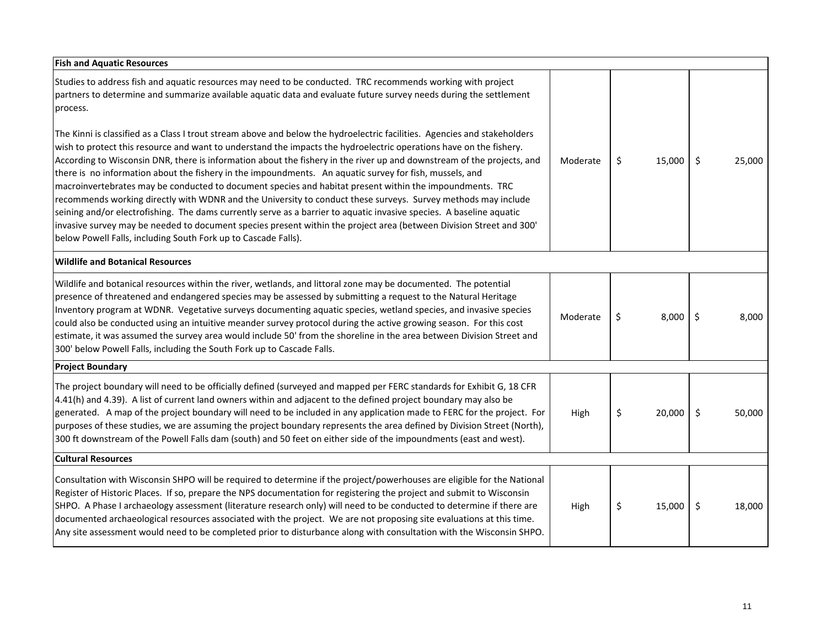| <b>Fish and Aquatic Resources</b>                                                                                                                                                                                                                                                                                                                                                                                                                                                                                                                                                                                                                                                                                                    |          |              |              |
|--------------------------------------------------------------------------------------------------------------------------------------------------------------------------------------------------------------------------------------------------------------------------------------------------------------------------------------------------------------------------------------------------------------------------------------------------------------------------------------------------------------------------------------------------------------------------------------------------------------------------------------------------------------------------------------------------------------------------------------|----------|--------------|--------------|
| Studies to address fish and aquatic resources may need to be conducted. TRC recommends working with project<br>partners to determine and summarize available aquatic data and evaluate future survey needs during the settlement<br>process.<br>The Kinni is classified as a Class I trout stream above and below the hydroelectric facilities. Agencies and stakeholders<br>wish to protect this resource and want to understand the impacts the hydroelectric operations have on the fishery.<br>According to Wisconsin DNR, there is information about the fishery in the river up and downstream of the projects, and<br>there is no information about the fishery in the impoundments. An aquatic survey for fish, mussels, and | Moderate | \$<br>15,000 | \$<br>25,000 |
| macroinvertebrates may be conducted to document species and habitat present within the impoundments. TRC<br>recommends working directly with WDNR and the University to conduct these surveys. Survey methods may include<br>seining and/or electrofishing. The dams currently serve as a barrier to aquatic invasive species. A baseline aquatic<br>invasive survey may be needed to document species present within the project area (between Division Street and 300'<br>below Powell Falls, including South Fork up to Cascade Falls).                                                                                                                                                                                           |          |              |              |
| <b>Wildlife and Botanical Resources</b>                                                                                                                                                                                                                                                                                                                                                                                                                                                                                                                                                                                                                                                                                              |          |              |              |
| Wildlife and botanical resources within the river, wetlands, and littoral zone may be documented. The potential<br>presence of threatened and endangered species may be assessed by submitting a request to the Natural Heritage<br>Inventory program at WDNR. Vegetative surveys documenting aquatic species, wetland species, and invasive species<br>could also be conducted using an intuitive meander survey protocol during the active growing season. For this cost<br>estimate, it was assumed the survey area would include 50' from the shoreline in the area between Division Street and<br>300' below Powell Falls, including the South Fork up to Cascade Falls.                                                        | Moderate | \$<br>8,000  | \$<br>8,000  |
| <b>Project Boundary</b>                                                                                                                                                                                                                                                                                                                                                                                                                                                                                                                                                                                                                                                                                                              |          |              |              |
| The project boundary will need to be officially defined (surveyed and mapped per FERC standards for Exhibit G, 18 CFR<br>4.41(h) and 4.39). A list of current land owners within and adjacent to the defined project boundary may also be<br>generated. A map of the project boundary will need to be included in any application made to FERC for the project. For<br>purposes of these studies, we are assuming the project boundary represents the area defined by Division Street (North),<br>300 ft downstream of the Powell Falls dam (south) and 50 feet on either side of the impoundments (east and west).                                                                                                                  | High     | \$<br>20,000 | \$<br>50,000 |
| <b>Cultural Resources</b>                                                                                                                                                                                                                                                                                                                                                                                                                                                                                                                                                                                                                                                                                                            |          |              |              |
| Consultation with Wisconsin SHPO will be required to determine if the project/powerhouses are eligible for the National<br>Register of Historic Places. If so, prepare the NPS documentation for registering the project and submit to Wisconsin<br>SHPO. A Phase I archaeology assessment (literature research only) will need to be conducted to determine if there are<br>documented archaeological resources associated with the project. We are not proposing site evaluations at this time.<br>Any site assessment would need to be completed prior to disturbance along with consultation with the Wisconsin SHPO.                                                                                                            | High     | \$<br>15,000 | \$<br>18,000 |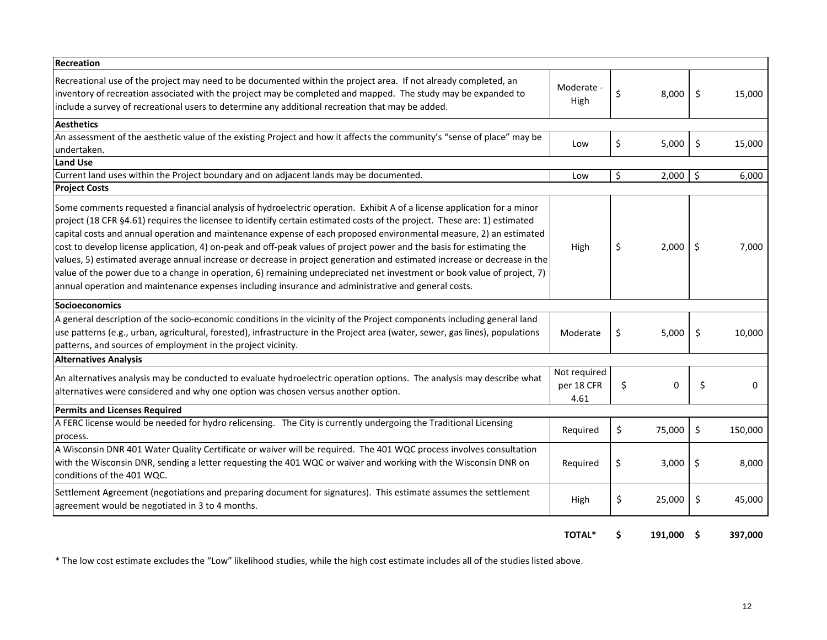| <b>Recreation</b>                                                                                                                                                                                                                                                                                                                                                                                                                                                                                                                                                                                                                                                                                                                                                                                                                                                |                                    |                |                |
|------------------------------------------------------------------------------------------------------------------------------------------------------------------------------------------------------------------------------------------------------------------------------------------------------------------------------------------------------------------------------------------------------------------------------------------------------------------------------------------------------------------------------------------------------------------------------------------------------------------------------------------------------------------------------------------------------------------------------------------------------------------------------------------------------------------------------------------------------------------|------------------------------------|----------------|----------------|
| Recreational use of the project may need to be documented within the project area. If not already completed, an<br>inventory of recreation associated with the project may be completed and mapped. The study may be expanded to<br>include a survey of recreational users to determine any additional recreation that may be added.                                                                                                                                                                                                                                                                                                                                                                                                                                                                                                                             | Moderate -<br>High                 | \$<br>8,000    | \$<br>15,000   |
| Aesthetics                                                                                                                                                                                                                                                                                                                                                                                                                                                                                                                                                                                                                                                                                                                                                                                                                                                       |                                    |                |                |
| An assessment of the aesthetic value of the existing Project and how it affects the community's "sense of place" may be<br>undertaken.                                                                                                                                                                                                                                                                                                                                                                                                                                                                                                                                                                                                                                                                                                                           | Low                                | \$<br>5,000    | \$<br>15,000   |
| <b>Land Use</b>                                                                                                                                                                                                                                                                                                                                                                                                                                                                                                                                                                                                                                                                                                                                                                                                                                                  |                                    |                |                |
| Current land uses within the Project boundary and on adjacent lands may be documented.                                                                                                                                                                                                                                                                                                                                                                                                                                                                                                                                                                                                                                                                                                                                                                           | Low                                | \$<br>2,000    | \$<br>6,000    |
| <b>Project Costs</b>                                                                                                                                                                                                                                                                                                                                                                                                                                                                                                                                                                                                                                                                                                                                                                                                                                             |                                    |                |                |
| Some comments requested a financial analysis of hydroelectric operation. Exhibit A of a license application for a minor<br>project (18 CFR §4.61) requires the licensee to identify certain estimated costs of the project. These are: 1) estimated<br>capital costs and annual operation and maintenance expense of each proposed environmental measure, 2) an estimated<br>cost to develop license application, 4) on-peak and off-peak values of project power and the basis for estimating the<br>values, 5) estimated average annual increase or decrease in project generation and estimated increase or decrease in the<br>value of the power due to a change in operation, 6) remaining undepreciated net investment or book value of project, 7)<br>annual operation and maintenance expenses including insurance and administrative and general costs. | High                               | \$<br>2,000    | \$<br>7,000    |
| <b>Socioeconomics</b>                                                                                                                                                                                                                                                                                                                                                                                                                                                                                                                                                                                                                                                                                                                                                                                                                                            |                                    |                |                |
| A general description of the socio-economic conditions in the vicinity of the Project components including general land<br>use patterns (e.g., urban, agricultural, forested), infrastructure in the Project area (water, sewer, gas lines), populations<br>patterns, and sources of employment in the project vicinity.                                                                                                                                                                                                                                                                                                                                                                                                                                                                                                                                         | Moderate                           | \$<br>5,000    | \$<br>10,000   |
| <b>Alternatives Analysis</b>                                                                                                                                                                                                                                                                                                                                                                                                                                                                                                                                                                                                                                                                                                                                                                                                                                     |                                    |                |                |
| An alternatives analysis may be conducted to evaluate hydroelectric operation options. The analysis may describe what<br>alternatives were considered and why one option was chosen versus another option.                                                                                                                                                                                                                                                                                                                                                                                                                                                                                                                                                                                                                                                       | Not required<br>per 18 CFR<br>4.61 | \$<br>$\Omega$ | \$<br>$\Omega$ |
| <b>Permits and Licenses Required</b>                                                                                                                                                                                                                                                                                                                                                                                                                                                                                                                                                                                                                                                                                                                                                                                                                             |                                    |                |                |
| A FERC license would be needed for hydro relicensing. The City is currently undergoing the Traditional Licensing<br>process.                                                                                                                                                                                                                                                                                                                                                                                                                                                                                                                                                                                                                                                                                                                                     | Required                           | \$<br>75,000   | \$<br>150,000  |
| A Wisconsin DNR 401 Water Quality Certificate or waiver will be required. The 401 WQC process involves consultation<br>with the Wisconsin DNR, sending a letter requesting the 401 WQC or waiver and working with the Wisconsin DNR on<br>conditions of the 401 WQC.                                                                                                                                                                                                                                                                                                                                                                                                                                                                                                                                                                                             | Required                           | \$<br>3,000    | \$<br>8,000    |
| Settlement Agreement (negotiations and preparing document for signatures). This estimate assumes the settlement<br>agreement would be negotiated in 3 to 4 months.                                                                                                                                                                                                                                                                                                                                                                                                                                                                                                                                                                                                                                                                                               | High                               | \$<br>25,000   | \$<br>45,000   |
|                                                                                                                                                                                                                                                                                                                                                                                                                                                                                                                                                                                                                                                                                                                                                                                                                                                                  | <b>TOTAL*</b>                      | \$<br>191.000  | 397.000        |

\* The low cost estimate excludes the "Low" likelihood studies, while the high cost estimate includes all of the studies listed above.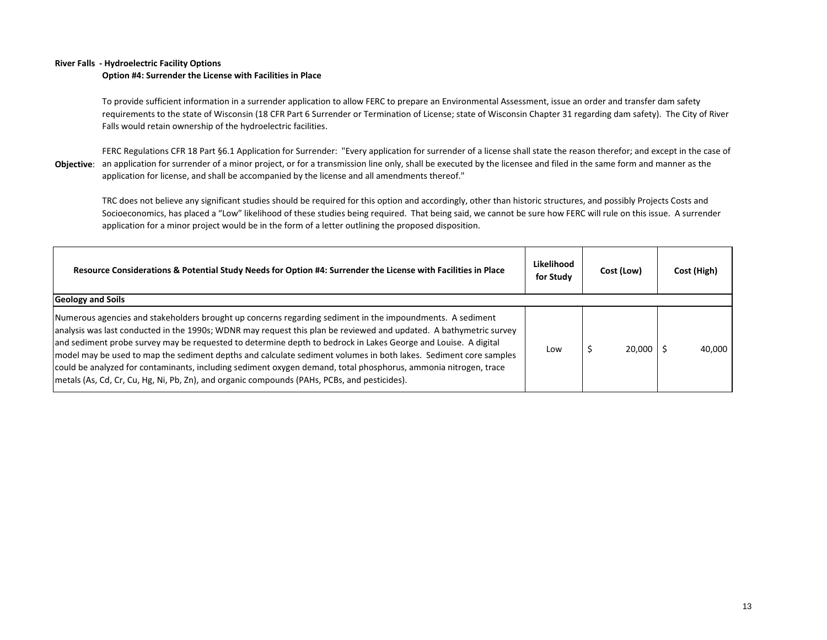#### **River Falls - Hydroelectric Facility Options**

#### **Option #4: Surrender the License with Facilities in Place**

To provide sufficient information in a surrender application to allow FERC to prepare an Environmental Assessment, issue an order and transfer dam safety requirements to the state of Wisconsin (18 CFR Part 6 Surrender or Termination of License; state of Wisconsin Chapter 31 regarding dam safety). The City of River Falls would retain ownership of the hydroelectric facilities.

**Objective**: an application for surrender of a minor project, or for a transmission line only, shall be executed by the licensee and filed in the same form and manner as the FERC Regulations CFR 18 Part §6.1 Application for Surrender: "Every application for surrender of a license shall state the reason therefor; and except in the case of application for license, and shall be accompanied by the license and all amendments thereof."

TRC does not believe any significant studies should be required for this option and accordingly, other than historic structures, and possibly Projects Costs and Socioeconomics, has placed a "Low" likelihood of these studies being required. That being said, we cannot be sure how FERC will rule on this issue. A surrender application for a minor project would be in the form of a letter outlining the proposed disposition.

| Resource Considerations & Potential Study Needs for Option #4: Surrender the License with Facilities in Place                                                                                                                                                                                                                                                                                                                                                                                                                                                                                                                                                                                                         | Likelihood<br>for Study | Cost (Low) | Cost (High) |
|-----------------------------------------------------------------------------------------------------------------------------------------------------------------------------------------------------------------------------------------------------------------------------------------------------------------------------------------------------------------------------------------------------------------------------------------------------------------------------------------------------------------------------------------------------------------------------------------------------------------------------------------------------------------------------------------------------------------------|-------------------------|------------|-------------|
| <b>Geology and Soils</b><br>Numerous agencies and stakeholders brought up concerns regarding sediment in the impoundments. A sediment<br>analysis was last conducted in the 1990s; WDNR may request this plan be reviewed and updated. A bathymetric survey<br>and sediment probe survey may be requested to determine depth to bedrock in Lakes George and Louise. A digital<br>model may be used to map the sediment depths and calculate sediment volumes in both lakes. Sediment core samples<br>could be analyzed for contaminants, including sediment oxygen demand, total phosphorus, ammonia nitrogen, trace<br> metals (As, Cd, Cr, Cu, Hg, Ni, Pb, Zn), and organic compounds (PAHs, PCBs, and pesticides). | Low                     | 20,000     | 40,000      |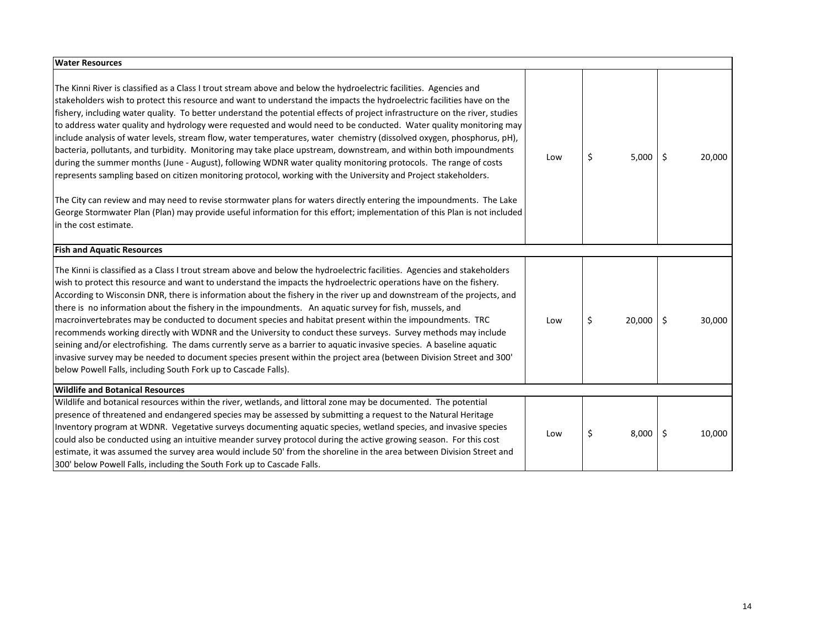| <b>Water Resources</b>                                                                                                                                                                                                                                                                                                                                                                                                                                                                                                                                                                                                                                                                                                                                                                                                                                                                                                                                                                                                                                                                                                                                                                                                                                               |     |              |              |  |
|----------------------------------------------------------------------------------------------------------------------------------------------------------------------------------------------------------------------------------------------------------------------------------------------------------------------------------------------------------------------------------------------------------------------------------------------------------------------------------------------------------------------------------------------------------------------------------------------------------------------------------------------------------------------------------------------------------------------------------------------------------------------------------------------------------------------------------------------------------------------------------------------------------------------------------------------------------------------------------------------------------------------------------------------------------------------------------------------------------------------------------------------------------------------------------------------------------------------------------------------------------------------|-----|--------------|--------------|--|
| The Kinni River is classified as a Class I trout stream above and below the hydroelectric facilities. Agencies and<br>stakeholders wish to protect this resource and want to understand the impacts the hydroelectric facilities have on the<br>fishery, including water quality. To better understand the potential effects of project infrastructure on the river, studies<br>to address water quality and hydrology were requested and would need to be conducted. Water quality monitoring may<br>include analysis of water levels, stream flow, water temperatures, water chemistry (dissolved oxygen, phosphorus, pH),<br>bacteria, pollutants, and turbidity. Monitoring may take place upstream, downstream, and within both impoundments<br>during the summer months (June - August), following WDNR water quality monitoring protocols. The range of costs<br>represents sampling based on citizen monitoring protocol, working with the University and Project stakeholders.<br>The City can review and may need to revise stormwater plans for waters directly entering the impoundments. The Lake<br>George Stormwater Plan (Plan) may provide useful information for this effort; implementation of this Plan is not included<br>in the cost estimate. | Low | \$<br>5,000  | \$<br>20,000 |  |
| <b>Fish and Aquatic Resources</b>                                                                                                                                                                                                                                                                                                                                                                                                                                                                                                                                                                                                                                                                                                                                                                                                                                                                                                                                                                                                                                                                                                                                                                                                                                    |     |              |              |  |
| The Kinni is classified as a Class I trout stream above and below the hydroelectric facilities. Agencies and stakeholders<br>wish to protect this resource and want to understand the impacts the hydroelectric operations have on the fishery.<br>According to Wisconsin DNR, there is information about the fishery in the river up and downstream of the projects, and<br>there is no information about the fishery in the impoundments. An aquatic survey for fish, mussels, and<br>macroinvertebrates may be conducted to document species and habitat present within the impoundments. TRC<br>recommends working directly with WDNR and the University to conduct these surveys. Survey methods may include<br>seining and/or electrofishing. The dams currently serve as a barrier to aquatic invasive species. A baseline aquatic<br>invasive survey may be needed to document species present within the project area (between Division Street and 300'<br>below Powell Falls, including South Fork up to Cascade Falls).                                                                                                                                                                                                                                   | Low | \$<br>20,000 | \$<br>30,000 |  |
| <b>Wildlife and Botanical Resources</b>                                                                                                                                                                                                                                                                                                                                                                                                                                                                                                                                                                                                                                                                                                                                                                                                                                                                                                                                                                                                                                                                                                                                                                                                                              |     |              |              |  |
| Wildlife and botanical resources within the river, wetlands, and littoral zone may be documented. The potential<br>presence of threatened and endangered species may be assessed by submitting a request to the Natural Heritage<br>Inventory program at WDNR. Vegetative surveys documenting aquatic species, wetland species, and invasive species<br>could also be conducted using an intuitive meander survey protocol during the active growing season. For this cost<br>estimate, it was assumed the survey area would include 50' from the shoreline in the area between Division Street and<br>300' below Powell Falls, including the South Fork up to Cascade Falls.                                                                                                                                                                                                                                                                                                                                                                                                                                                                                                                                                                                        | Low | \$<br>8,000  | \$<br>10,000 |  |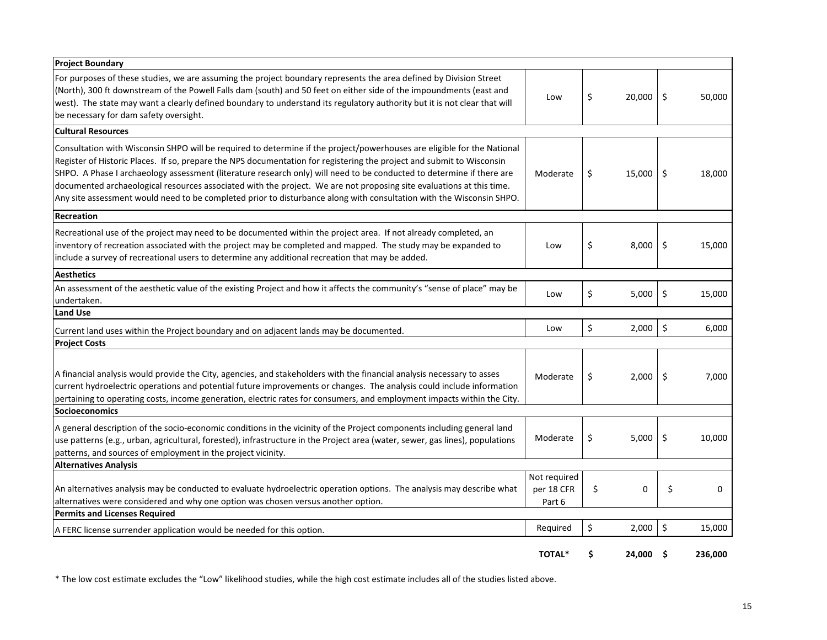| <b>Project Boundary</b>                                                                                                                                                                                                                                                                                                                                                                                                                                                                                                                                                                                                   |                      |              |         |             |
|---------------------------------------------------------------------------------------------------------------------------------------------------------------------------------------------------------------------------------------------------------------------------------------------------------------------------------------------------------------------------------------------------------------------------------------------------------------------------------------------------------------------------------------------------------------------------------------------------------------------------|----------------------|--------------|---------|-------------|
| For purposes of these studies, we are assuming the project boundary represents the area defined by Division Street<br>(North), 300 ft downstream of the Powell Falls dam (south) and 50 feet on either side of the impoundments (east and<br>west). The state may want a clearly defined boundary to understand its regulatory authority but it is not clear that will<br>be necessary for dam safety oversight.                                                                                                                                                                                                          | Low                  | \$<br>20,000 | \$      | 50,000      |
| <b>Cultural Resources</b>                                                                                                                                                                                                                                                                                                                                                                                                                                                                                                                                                                                                 |                      |              |         |             |
| Consultation with Wisconsin SHPO will be required to determine if the project/powerhouses are eligible for the National<br>Register of Historic Places. If so, prepare the NPS documentation for registering the project and submit to Wisconsin<br>SHPO. A Phase I archaeology assessment (literature research only) will need to be conducted to determine if there are<br>documented archaeological resources associated with the project. We are not proposing site evaluations at this time.<br>Any site assessment would need to be completed prior to disturbance along with consultation with the Wisconsin SHPO. | Moderate             | \$<br>15,000 | \$      | 18,000      |
| Recreation                                                                                                                                                                                                                                                                                                                                                                                                                                                                                                                                                                                                                |                      |              |         |             |
| Recreational use of the project may need to be documented within the project area. If not already completed, an<br>inventory of recreation associated with the project may be completed and mapped. The study may be expanded to<br>include a survey of recreational users to determine any additional recreation that may be added.                                                                                                                                                                                                                                                                                      | Low                  | \$<br>8,000  | \$      | 15,000      |
| <b>Aesthetics</b>                                                                                                                                                                                                                                                                                                                                                                                                                                                                                                                                                                                                         |                      |              |         |             |
| An assessment of the aesthetic value of the existing Project and how it affects the community's "sense of place" may be<br>undertaken.                                                                                                                                                                                                                                                                                                                                                                                                                                                                                    | Low                  | \$<br>5,000  | \$      | 15,000      |
| <b>Land Use</b>                                                                                                                                                                                                                                                                                                                                                                                                                                                                                                                                                                                                           |                      |              |         |             |
| Current land uses within the Project boundary and on adjacent lands may be documented.<br><b>Project Costs</b>                                                                                                                                                                                                                                                                                                                                                                                                                                                                                                            | Low                  | \$<br>2,000  | $\zeta$ | 6,000       |
| A financial analysis would provide the City, agencies, and stakeholders with the financial analysis necessary to asses<br>current hydroelectric operations and potential future improvements or changes. The analysis could include information<br>pertaining to operating costs, income generation, electric rates for consumers, and employment impacts within the City.<br>Socioeconomics                                                                                                                                                                                                                              | Moderate             | \$<br>2,000  | \$      | 7,000       |
| A general description of the socio-economic conditions in the vicinity of the Project components including general land<br>use patterns (e.g., urban, agricultural, forested), infrastructure in the Project area (water, sewer, gas lines), populations<br>patterns, and sources of employment in the project vicinity.                                                                                                                                                                                                                                                                                                  | Moderate             | \$<br>5,000  | \$      | 10,000      |
| <b>Alternatives Analysis</b>                                                                                                                                                                                                                                                                                                                                                                                                                                                                                                                                                                                              | Not required         |              |         |             |
| An alternatives analysis may be conducted to evaluate hydroelectric operation options. The analysis may describe what<br>alternatives were considered and why one option was chosen versus another option.                                                                                                                                                                                                                                                                                                                                                                                                                | per 18 CFR<br>Part 6 | \$<br>0      | \$      | $\mathbf 0$ |
| <b>Permits and Licenses Required</b>                                                                                                                                                                                                                                                                                                                                                                                                                                                                                                                                                                                      |                      |              |         |             |
| A FERC license surrender application would be needed for this option.                                                                                                                                                                                                                                                                                                                                                                                                                                                                                                                                                     | Required             | \$<br>2,000  | \$      | 15,000      |
|                                                                                                                                                                                                                                                                                                                                                                                                                                                                                                                                                                                                                           | <b>TOTAL*</b>        | \$<br>24,000 | Ś       | 236,000     |

\* The low cost estimate excludes the "Low" likelihood studies, while the high cost estimate includes all of the studies listed above.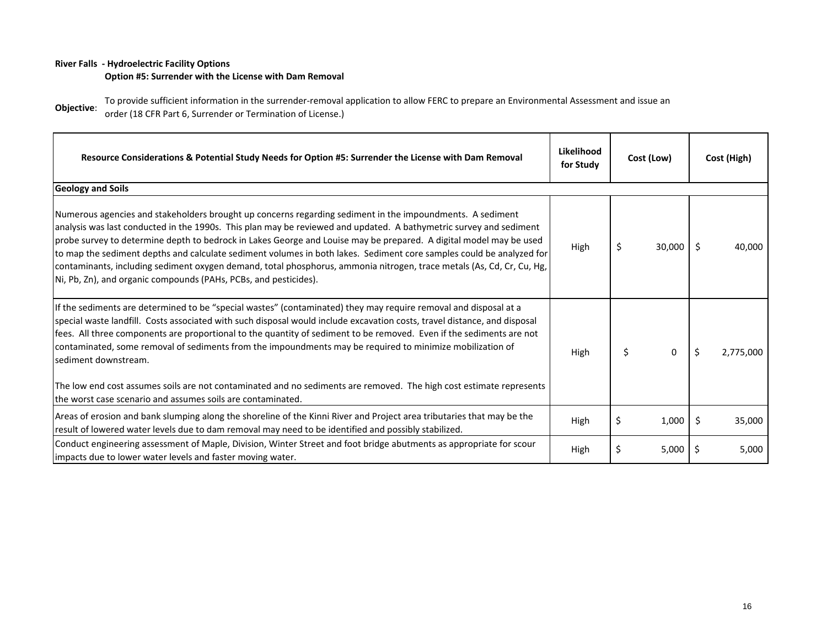### **River Falls - Hydroelectric Facility Options**

### **Option #5: Surrender with the License with Dam Removal**

**Objective**: To provide sufficient information in the surrender-removal application to allow FERC to prepare an Environmental Assessment and issue an order (18 CFR Part 6, Surrender or Termination of License.)

| Resource Considerations & Potential Study Needs for Option #5: Surrender the License with Dam Removal                                                                                                                                                                                                                                                                                                                                                                                                                                                                                                                                                                                            | Likelihood<br>for Study | Cost (Low) |        | Cost (High) |           |
|--------------------------------------------------------------------------------------------------------------------------------------------------------------------------------------------------------------------------------------------------------------------------------------------------------------------------------------------------------------------------------------------------------------------------------------------------------------------------------------------------------------------------------------------------------------------------------------------------------------------------------------------------------------------------------------------------|-------------------------|------------|--------|-------------|-----------|
| <b>Geology and Soils</b>                                                                                                                                                                                                                                                                                                                                                                                                                                                                                                                                                                                                                                                                         |                         |            |        |             |           |
| Numerous agencies and stakeholders brought up concerns regarding sediment in the impoundments. A sediment<br>analysis was last conducted in the 1990s. This plan may be reviewed and updated. A bathymetric survey and sediment<br>probe survey to determine depth to bedrock in Lakes George and Louise may be prepared. A digital model may be used<br>to map the sediment depths and calculate sediment volumes in both lakes. Sediment core samples could be analyzed for<br>contaminants, including sediment oxygen demand, total phosphorus, ammonia nitrogen, trace metals (As, Cd, Cr, Cu, Hg,<br>Ni, Pb, Zn), and organic compounds (PAHs, PCBs, and pesticides).                       | High                    | \$         | 30,000 | Ŝ.          | 40,000    |
| If the sediments are determined to be "special wastes" (contaminated) they may require removal and disposal at a<br>special waste landfill. Costs associated with such disposal would include excavation costs, travel distance, and disposal<br>fees. All three components are proportional to the quantity of sediment to be removed. Even if the sediments are not<br>contaminated, some removal of sediments from the impoundments may be required to minimize mobilization of<br>sediment downstream.<br>The low end cost assumes soils are not contaminated and no sediments are removed. The high cost estimate represents<br>the worst case scenario and assumes soils are contaminated. | High                    | \$         | 0      | \$          | 2,775,000 |
| Areas of erosion and bank slumping along the shoreline of the Kinni River and Project area tributaries that may be the<br>result of lowered water levels due to dam removal may need to be identified and possibly stabilized.                                                                                                                                                                                                                                                                                                                                                                                                                                                                   | High                    | S          | 1,000  | \$          | 35,000    |
| Conduct engineering assessment of Maple, Division, Winter Street and foot bridge abutments as appropriate for scour<br>impacts due to lower water levels and faster moving water.                                                                                                                                                                                                                                                                                                                                                                                                                                                                                                                | High                    | \$         | 5,000  | S           | 5,000     |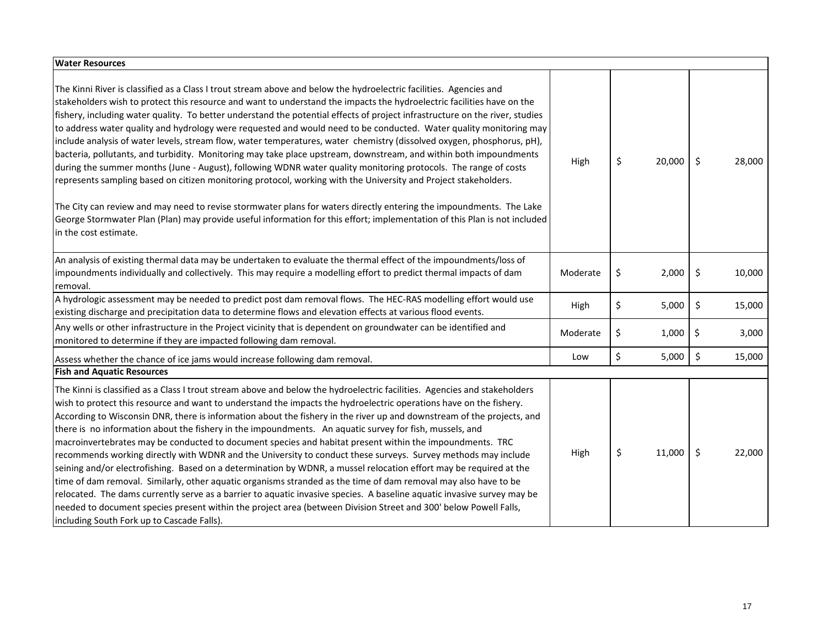| <b>Water Resources</b>                                                                                                                                                                                                                                                                                                                                                                                                                                                                                                                                                                                                                                                                                                                                                                                                                                                                                                                                                                                                                                                                                                                                                                                                                                               |          |              |              |
|----------------------------------------------------------------------------------------------------------------------------------------------------------------------------------------------------------------------------------------------------------------------------------------------------------------------------------------------------------------------------------------------------------------------------------------------------------------------------------------------------------------------------------------------------------------------------------------------------------------------------------------------------------------------------------------------------------------------------------------------------------------------------------------------------------------------------------------------------------------------------------------------------------------------------------------------------------------------------------------------------------------------------------------------------------------------------------------------------------------------------------------------------------------------------------------------------------------------------------------------------------------------|----------|--------------|--------------|
| The Kinni River is classified as a Class I trout stream above and below the hydroelectric facilities. Agencies and<br>stakeholders wish to protect this resource and want to understand the impacts the hydroelectric facilities have on the<br>fishery, including water quality. To better understand the potential effects of project infrastructure on the river, studies<br>to address water quality and hydrology were requested and would need to be conducted. Water quality monitoring may<br>include analysis of water levels, stream flow, water temperatures, water chemistry (dissolved oxygen, phosphorus, pH),<br>bacteria, pollutants, and turbidity. Monitoring may take place upstream, downstream, and within both impoundments<br>during the summer months (June - August), following WDNR water quality monitoring protocols. The range of costs<br>represents sampling based on citizen monitoring protocol, working with the University and Project stakeholders.<br>The City can review and may need to revise stormwater plans for waters directly entering the impoundments. The Lake<br>George Stormwater Plan (Plan) may provide useful information for this effort; implementation of this Plan is not included<br>in the cost estimate. | High     | \$<br>20,000 | \$<br>28,000 |
| An analysis of existing thermal data may be undertaken to evaluate the thermal effect of the impoundments/loss of<br>impoundments individually and collectively. This may require a modelling effort to predict thermal impacts of dam<br>removal.                                                                                                                                                                                                                                                                                                                                                                                                                                                                                                                                                                                                                                                                                                                                                                                                                                                                                                                                                                                                                   | Moderate | \$<br>2,000  | \$<br>10,000 |
| A hydrologic assessment may be needed to predict post dam removal flows. The HEC-RAS modelling effort would use<br>existing discharge and precipitation data to determine flows and elevation effects at various flood events.                                                                                                                                                                                                                                                                                                                                                                                                                                                                                                                                                                                                                                                                                                                                                                                                                                                                                                                                                                                                                                       | High     | \$<br>5,000  | \$<br>15,000 |
| Any wells or other infrastructure in the Project vicinity that is dependent on groundwater can be identified and<br>monitored to determine if they are impacted following dam removal.                                                                                                                                                                                                                                                                                                                                                                                                                                                                                                                                                                                                                                                                                                                                                                                                                                                                                                                                                                                                                                                                               | Moderate | \$<br>1,000  | \$<br>3,000  |
| Assess whether the chance of ice jams would increase following dam removal.                                                                                                                                                                                                                                                                                                                                                                                                                                                                                                                                                                                                                                                                                                                                                                                                                                                                                                                                                                                                                                                                                                                                                                                          | Low      | \$<br>5,000  | \$<br>15,000 |
| <b>Fish and Aquatic Resources</b>                                                                                                                                                                                                                                                                                                                                                                                                                                                                                                                                                                                                                                                                                                                                                                                                                                                                                                                                                                                                                                                                                                                                                                                                                                    |          |              |              |
| The Kinni is classified as a Class I trout stream above and below the hydroelectric facilities. Agencies and stakeholders<br>wish to protect this resource and want to understand the impacts the hydroelectric operations have on the fishery.<br>According to Wisconsin DNR, there is information about the fishery in the river up and downstream of the projects, and<br>there is no information about the fishery in the impoundments. An aquatic survey for fish, mussels, and<br>macroinvertebrates may be conducted to document species and habitat present within the impoundments. TRC<br>recommends working directly with WDNR and the University to conduct these surveys. Survey methods may include<br>seining and/or electrofishing. Based on a determination by WDNR, a mussel relocation effort may be required at the<br>time of dam removal. Similarly, other aquatic organisms stranded as the time of dam removal may also have to be<br>relocated. The dams currently serve as a barrier to aquatic invasive species. A baseline aquatic invasive survey may be<br>needed to document species present within the project area (between Division Street and 300' below Powell Falls,<br>including South Fork up to Cascade Falls).              | High     | \$<br>11,000 | \$<br>22,000 |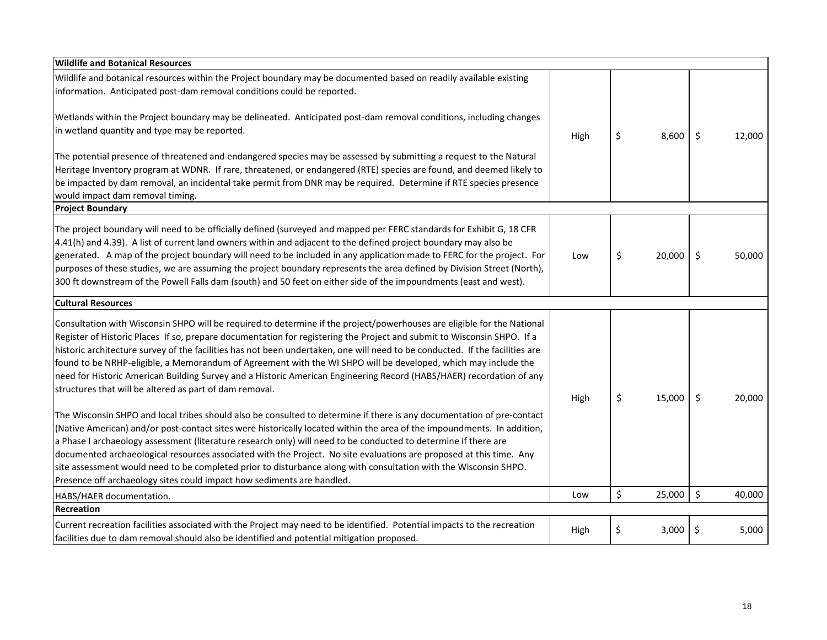| <b>Wildlife and Botanical Resources</b>                                                                                      |      |              |              |
|------------------------------------------------------------------------------------------------------------------------------|------|--------------|--------------|
| Wildlife and botanical resources within the Project boundary may be documented based on readily available existing           |      |              |              |
| information. Anticipated post-dam removal conditions could be reported.                                                      |      |              |              |
| Wetlands within the Project boundary may be delineated. Anticipated post-dam removal conditions, including changes           |      |              |              |
| in wetland quantity and type may be reported.                                                                                |      |              |              |
|                                                                                                                              | High | \$<br>8,600  | \$<br>12,000 |
| The potential presence of threatened and endangered species may be assessed by submitting a request to the Natural           |      |              |              |
| Heritage Inventory program at WDNR. If rare, threatened, or endangered (RTE) species are found, and deemed likely to         |      |              |              |
| be impacted by dam removal, an incidental take permit from DNR may be required. Determine if RTE species presence            |      |              |              |
| would impact dam removal timing.                                                                                             |      |              |              |
| <b>Project Boundary</b>                                                                                                      |      |              |              |
| The project boundary will need to be officially defined (surveyed and mapped per FERC standards for Exhibit G, 18 CFR        |      |              |              |
| 4.41(h) and 4.39). A list of current land owners within and adjacent to the defined project boundary may also be             |      |              |              |
| generated. A map of the project boundary will need to be included in any application made to FERC for the project. For       | Low  | \$<br>20,000 | \$<br>50,000 |
| purposes of these studies, we are assuming the project boundary represents the area defined by Division Street (North),      |      |              |              |
| 300 ft downstream of the Powell Falls dam (south) and 50 feet on either side of the impoundments (east and west).            |      |              |              |
| <b>Cultural Resources</b>                                                                                                    |      |              |              |
| Consultation with Wisconsin SHPO will be required to determine if the project/powerhouses are eligible for the National      |      |              |              |
| Register of Historic Places If so, prepare documentation for registering the Project and submit to Wisconsin SHPO. If a      |      |              |              |
| historic architecture survey of the facilities has not been undertaken, one will need to be conducted. If the facilities are |      |              |              |
| found to be NRHP-eligible, a Memorandum of Agreement with the WI SHPO will be developed, which may include the               |      |              |              |
| need for Historic American Building Survey and a Historic American Engineering Record (HABS/HAER) recordation of any         |      |              |              |
| structures that will be altered as part of dam removal.                                                                      |      |              |              |
|                                                                                                                              | High | \$<br>15,000 | \$<br>20,000 |
| The Wisconsin SHPO and local tribes should also be consulted to determine if there is any documentation of pre-contact       |      |              |              |
| (Native American) and/or post-contact sites were historically located within the area of the impoundments. In addition,      |      |              |              |
| a Phase I archaeology assessment (literature research only) will need to be conducted to determine if there are              |      |              |              |
| documented archaeological resources associated with the Project. No site evaluations are proposed at this time. Any          |      |              |              |
| site assessment would need to be completed prior to disturbance along with consultation with the Wisconsin SHPO.             |      |              |              |
| Presence off archaeology sites could impact how sediments are handled.                                                       |      |              |              |
| HABS/HAER documentation.                                                                                                     | Low  | \$<br>25,000 | \$<br>40,000 |
| <b>Recreation</b>                                                                                                            |      |              |              |
| Current recreation facilities associated with the Project may need to be identified. Potential impacts to the recreation     | High | \$<br>3,000  | \$<br>5,000  |
| facilities due to dam removal should also be identified and potential mitigation proposed.                                   |      |              |              |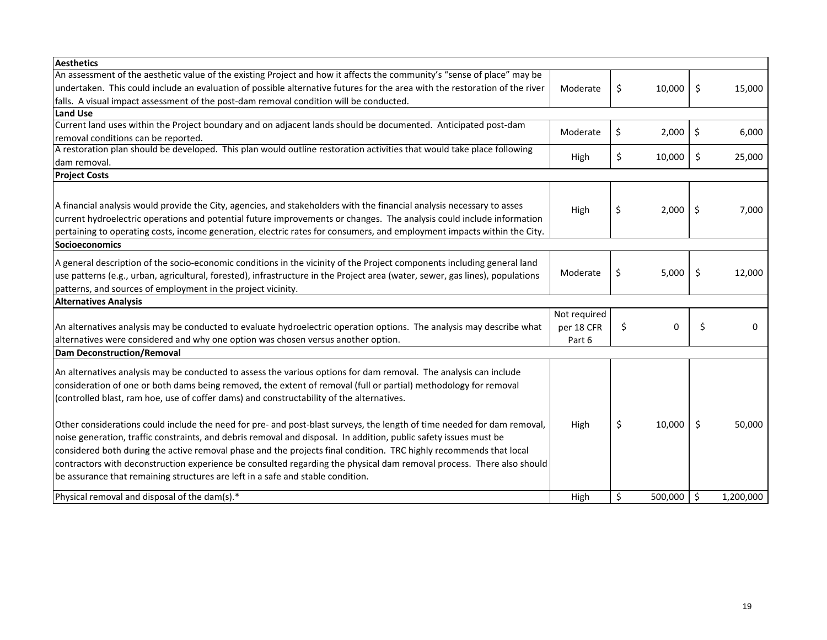| <b>Aesthetics</b>                                                                                                             |              |               |         |           |
|-------------------------------------------------------------------------------------------------------------------------------|--------------|---------------|---------|-----------|
| An assessment of the aesthetic value of the existing Project and how it affects the community's "sense of place" may be       |              |               |         |           |
| undertaken. This could include an evaluation of possible alternative futures for the area with the restoration of the river   | Moderate     | \$<br>10,000  | \$      | 15,000    |
| falls. A visual impact assessment of the post-dam removal condition will be conducted.                                        |              |               |         |           |
| <b>Land Use</b>                                                                                                               |              |               |         |           |
| Current land uses within the Project boundary and on adjacent lands should be documented. Anticipated post-dam                | Moderate     | \$<br>2,000   | \$      | 6,000     |
| removal conditions can be reported.                                                                                           |              |               |         |           |
| A restoration plan should be developed. This plan would outline restoration activities that would take place following        | High         | \$<br>10,000  | \$      | 25,000    |
| dam removal.                                                                                                                  |              |               |         |           |
| <b>Project Costs</b>                                                                                                          |              |               |         |           |
|                                                                                                                               |              |               |         |           |
| A financial analysis would provide the City, agencies, and stakeholders with the financial analysis necessary to asses        |              |               |         |           |
| current hydroelectric operations and potential future improvements or changes. The analysis could include information         | High         | \$<br>2,000   | \$      | 7,000     |
| pertaining to operating costs, income generation, electric rates for consumers, and employment impacts within the City.       |              |               |         |           |
| Socioeconomics                                                                                                                |              |               |         |           |
|                                                                                                                               |              |               |         |           |
| A general description of the socio-economic conditions in the vicinity of the Project components including general land       |              |               |         |           |
| use patterns (e.g., urban, agricultural, forested), infrastructure in the Project area (water, sewer, gas lines), populations | Moderate     | \$<br>5,000   | \$      | 12,000    |
| patterns, and sources of employment in the project vicinity.                                                                  |              |               |         |           |
| <b>Alternatives Analysis</b>                                                                                                  |              |               |         |           |
|                                                                                                                               | Not required |               |         |           |
| An alternatives analysis may be conducted to evaluate hydroelectric operation options. The analysis may describe what         | per 18 CFR   | \$<br>0       | \$      | 0         |
| alternatives were considered and why one option was chosen versus another option.                                             | Part 6       |               |         |           |
| <b>Dam Deconstruction/Removal</b>                                                                                             |              |               |         |           |
| An alternatives analysis may be conducted to assess the various options for dam removal. The analysis can include             |              |               |         |           |
| consideration of one or both dams being removed, the extent of removal (full or partial) methodology for removal              |              |               |         |           |
| (controlled blast, ram hoe, use of coffer dams) and constructability of the alternatives.                                     |              |               |         |           |
|                                                                                                                               |              |               |         |           |
| Other considerations could include the need for pre- and post-blast surveys, the length of time needed for dam removal,       | High         | \$<br>10,000  | \$      | 50,000    |
| noise generation, traffic constraints, and debris removal and disposal. In addition, public safety issues must be             |              |               |         |           |
| considered both during the active removal phase and the projects final condition. TRC highly recommends that local            |              |               |         |           |
| contractors with deconstruction experience be consulted regarding the physical dam removal process. There also should         |              |               |         |           |
|                                                                                                                               |              |               |         |           |
| be assurance that remaining structures are left in a safe and stable condition.                                               |              |               |         |           |
| Physical removal and disposal of the dam(s).*                                                                                 | High         | \$<br>500,000 | $\zeta$ | 1,200,000 |